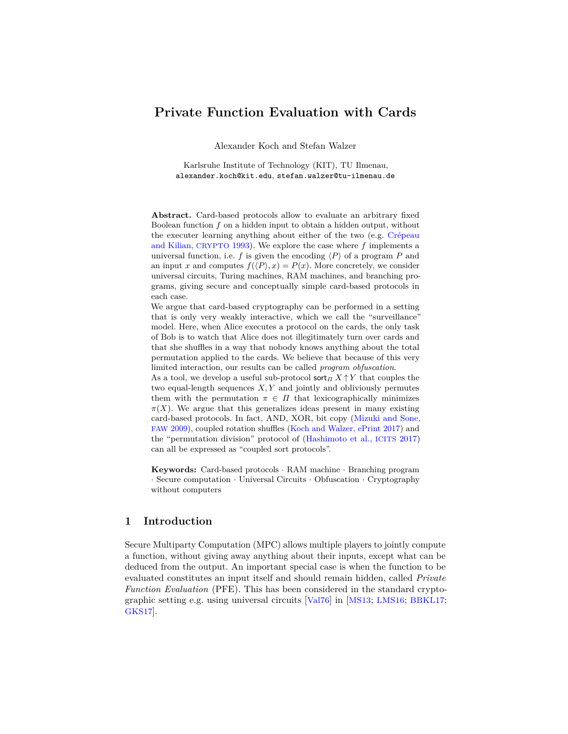# **Private Function Evaluation with Cards**

Alexander Koch and Stefan Walzer

Karlsruhe Institute of Technology (KIT), TU Ilmenau, alexander.koch@kit.edu, stefan.walzer@tu-ilmenau.de

**Abstract.** Card-based protocols allow to evaluate an arbitrary fixed Boolean function *f* on a hidden input to obtain a hidden output, without the executer learning anything about either of the two (e.g. [Crépeau](#page-27-0) [and Kilian,](#page-27-0) CRYPTO 1993). We explore the case where *f* implements a universal function, i.e. f is given the encoding  $\langle P \rangle$  of a program P and an input *x* and computes  $f(\langle P \rangle, x) = P(x)$ . More concretely, we consider universal circuits, Turing machines, RAM machines, and branching programs, giving secure and conceptually simple card-based protocols in each case.

We argue that card-based cryptography can be performed in a setting that is only very weakly interactive, which we call the "surveillance" model. Here, when Alice executes a protocol on the cards, the only task of Bob is to watch that Alice does not illegitimately turn over cards and that she shuffles in a way that nobody knows anything about the total permutation applied to the cards. We believe that because of this very limited interaction, our results can be called *program obfuscation*.

As a tool, we develop a useful sub-protocol sort<sub>*Π*</sub>  $X \uparrow Y$  that couples the two equal-length sequences *X, Y* and jointly and obliviously permutes them with the permutation  $\pi \in \Pi$  that lexicographically minimizes  $\pi(X)$ . We argue that this generalizes ideas present in many existing card-based protocols. In fact, AND, XOR, bit copy [\(Mizuki and Sone,](#page-28-0) FAW [2009\)](#page-28-0), coupled rotation shuffles [\(Koch and Walzer, ePrint 2017\)](#page-28-1) and the "permutation division" protocol of [\(Hashimoto et al.,](#page-27-1) ICITS 2017) can all be expressed as "coupled sort protocols".

**Keywords:** Card-based protocols · RAM machine · Branching program · Secure computation · Universal Circuits · Obfuscation · Cryptography without computers

## **1 Introduction**

Secure Multiparty Computation (MPC) allows multiple players to jointly compute a function, without giving away anything about their inputs, except what can be deduced from the output. An important special case is when the function to be evaluated constitutes an input itself and should remain hidden, called *Private Function Evaluation* (PFE). This has been considered in the standard cryptographic setting e.g. using universal circuits [[Val76](#page-29-0)] in [[MS13](#page-28-2); [LMS16](#page-28-3); [BBKL17](#page-26-0); [GKS17](#page-27-2)].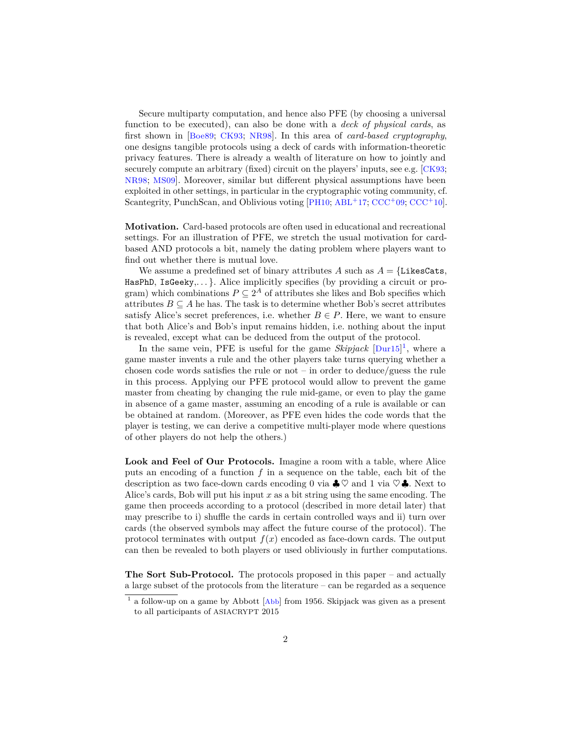Secure multiparty computation, and hence also PFE (by choosing a universal function to be executed), can also be done with a *deck of physical cards*, as first shown in [[Boe89](#page-26-1); [CK93](#page-27-0); [NR98](#page-29-1)]. In this area of *card-based cryptography*, one designs tangible protocols using a deck of cards with information-theoretic privacy features. There is already a wealth of literature on how to jointly and securely compute an arbitrary (fixed) circuit on the players' inputs, see e.g. [[CK93](#page-27-0); [NR98](#page-29-1); [MS09](#page-28-0)]. Moreover, similar but different physical assumptions have been exploited in other settings, in particular in the cryptographic voting community, cf. Scantegrity, PunchScan, and Oblivious voting [[PH10](#page-29-2);  $ABL<sup>+</sup>17$  $ABL<sup>+</sup>17$ ; [CCC](#page-27-3)<sup>+</sup>09; CCC<sup>+</sup>10].

**Motivation.** Card-based protocols are often used in educational and recreational settings. For an illustration of PFE, we stretch the usual motivation for cardbased AND protocols a bit, namely the dating problem where players want to find out whether there is mutual love.

We assume a predefined set of binary attributes  $A$  such as  $A = \{\text{LikesCats},\}$ HasPhD, IsGeeky,...}. Alice implicitly specifies (by providing a circuit or program) which combinations  $P \subseteq 2^A$  of attributes she likes and Bob specifies which attributes  $B \subseteq A$  he has. The task is to determine whether Bob's secret attributes satisfy Alice's secret preferences, i.e. whether  $B \in P$ . Here, we want to ensure that both Alice's and Bob's input remains hidden, i.e. nothing about the input is revealed, except what can be deduced from the output of the protocol.

In the same vein, PFE is useful for the game *Skipjack* [[Dur15](#page-27-4)] [1](#page-1-0) , where a game master invents a rule and the other players take turns querying whether a chosen code words satisfies the rule or not – in order to deduce/guess the rule in this process. Applying our PFE protocol would allow to prevent the game master from cheating by changing the rule mid-game, or even to play the game in absence of a game master, assuming an encoding of a rule is available or can be obtained at random. (Moreover, as PFE even hides the code words that the player is testing, we can derive a competitive multi-player mode where questions of other players do not help the others.)

**Look and Feel of Our Protocols.** Imagine a room with a table, where Alice puts an encoding of a function *f* in a sequence on the table, each bit of the description as two face-down cards encoding 0 via  $\clubsuit \heartsuit$  and 1 via  $\heartsuit \clubsuit$ . Next to Alice's cards, Bob will put his input *x* as a bit string using the same encoding. The game then proceeds according to a protocol (described in more detail later) that may prescribe to i) shuffle the cards in certain controlled ways and ii) turn over cards (the observed symbols may affect the future course of the protocol). The protocol terminates with output  $f(x)$  encoded as face-down cards. The output can then be revealed to both players or used obliviously in further computations.

**The Sort Sub-Protocol.** The protocols proposed in this paper – and actually a large subset of the protocols from the literature – can be regarded as a sequence

<span id="page-1-0"></span><sup>&</sup>lt;sup>1</sup> a follow-up on a game by [Abb](#page-26-4)ott [Abb] from 1956. Skipjack was given as a present to all participants of ASIACRYPT 2015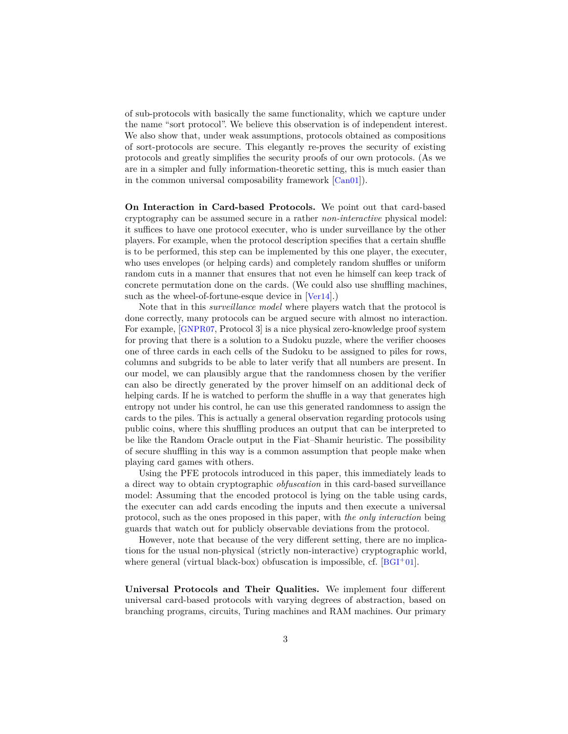of sub-protocols with basically the same functionality, which we capture under the name "sort protocol". We believe this observation is of independent interest. We also show that, under weak assumptions, protocols obtained as compositions of sort-protocols are secure. This elegantly re-proves the security of existing protocols and greatly simplifies the security proofs of our own protocols. (As we are in a simpler and fully information-theoretic setting, this is much easier than in the common universal composability framework [[Can01](#page-26-5)]).

**On Interaction in Card-based Protocols.** We point out that card-based cryptography can be assumed secure in a rather *non-interactive* physical model: it suffices to have one protocol executer, who is under surveillance by the other players. For example, when the protocol description specifies that a certain shuffle is to be performed, this step can be implemented by this one player, the executer, who uses envelopes (or helping cards) and completely random shuffles or uniform random cuts in a manner that ensures that not even he himself can keep track of concrete permutation done on the cards. (We could also use shuffling machines, such as the wheel-of-fortune-esque device in [[Ver14](#page-29-3)].)

Note that in this *surveillance model* where players watch that the protocol is done correctly, many protocols can be argued secure with almost no interaction. For example, [[GNPR07](#page-27-5), Protocol 3] is a nice physical zero-knowledge proof system for proving that there is a solution to a Sudoku puzzle, where the verifier chooses one of three cards in each cells of the Sudoku to be assigned to piles for rows, columns and subgrids to be able to later verify that all numbers are present. In our model, we can plausibly argue that the randomness chosen by the verifier can also be directly generated by the prover himself on an additional deck of helping cards. If he is watched to perform the shuffle in a way that generates high entropy not under his control, he can use this generated randomness to assign the cards to the piles. This is actually a general observation regarding protocols using public coins, where this shuffling produces an output that can be interpreted to be like the Random Oracle output in the Fiat–Shamir heuristic. The possibility of secure shuffling in this way is a common assumption that people make when playing card games with others.

Using the PFE protocols introduced in this paper, this immediately leads to a direct way to obtain cryptographic *obfuscation* in this card-based surveillance model: Assuming that the encoded protocol is lying on the table using cards, the executer can add cards encoding the inputs and then execute a universal protocol, such as the ones proposed in this paper, with *the only interaction* being guards that watch out for publicly observable deviations from the protocol.

However, note that because of the very different setting, there are no implications for the usual non-physical (strictly non-interactive) cryptographic world, where general (virtual black-box) obfuscation is impossible, cf.  $|BGI^+01|$  $|BGI^+01|$  $|BGI^+01|$ .

**Universal Protocols and Their Qualities.** We implement four different universal card-based protocols with varying degrees of abstraction, based on branching programs, circuits, Turing machines and RAM machines. Our primary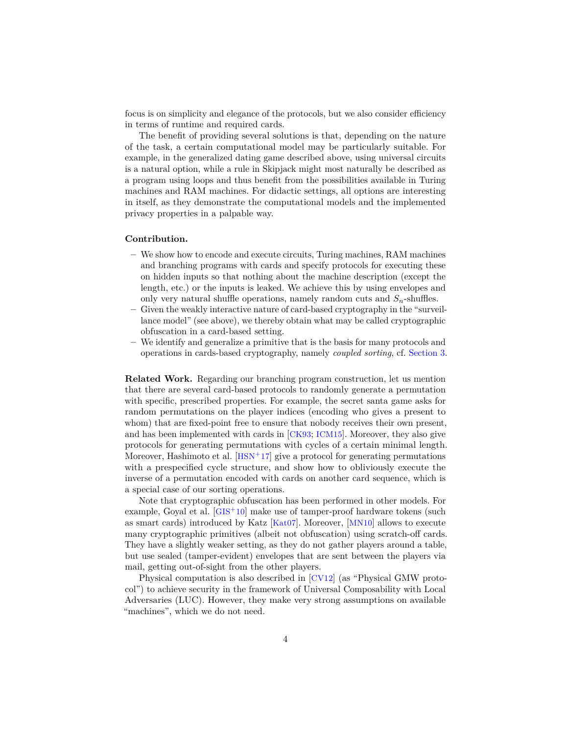focus is on simplicity and elegance of the protocols, but we also consider efficiency in terms of runtime and required cards.

The benefit of providing several solutions is that, depending on the nature of the task, a certain computational model may be particularly suitable. For example, in the generalized dating game described above, using universal circuits is a natural option, while a rule in Skipjack might most naturally be described as a program using loops and thus benefit from the possibilities available in Turing machines and RAM machines. For didactic settings, all options are interesting in itself, as they demonstrate the computational models and the implemented privacy properties in a palpable way.

#### **Contribution.**

- **–** We show how to encode and execute circuits, Turing machines, RAM machines and branching programs with cards and specify protocols for executing these on hidden inputs so that nothing about the machine description (except the length, etc.) or the inputs is leaked. We achieve this by using envelopes and only very natural shuffle operations, namely random cuts and *Sn*-shuffles.
- **–** Given the weakly interactive nature of card-based cryptography in the "surveillance model" (see above), we thereby obtain what may be called cryptographic obfuscation in a card-based setting.
- **–** We identify and generalize a primitive that is the basis for many protocols and operations in cards-based cryptography, namely *coupled sorting*, cf. [Section 3.](#page-5-0)

**Related Work.** Regarding our branching program construction, let us mention that there are several card-based protocols to randomly generate a permutation with specific, prescribed properties. For example, the secret santa game asks for random permutations on the player indices (encoding who gives a present to whom) that are fixed-point free to ensure that nobody receives their own present, and has been implemented with cards in [[CK93](#page-27-0); [ICM15](#page-28-4)]. Moreover, they also give protocols for generating permutations with cycles of a certain minimal length. Moreover, Hashimoto et al.  $[**HSN**<sup>+</sup>17]$  $[**HSN**<sup>+</sup>17]$  $[**HSN**<sup>+</sup>17]$  give a protocol for generating permutations with a prespecified cycle structure, and show how to obliviously execute the inverse of a permutation encoded with cards on another card sequence, which is a special case of our sorting operations.

Note that cryptographic obfuscation has been performed in other models. For example, Goyal et al.  $[GIS^+10]$  $[GIS^+10]$  $[GIS^+10]$  make use of tamper-proof hardware tokens (such as smart cards) introduced by Katz [[Kat07](#page-28-5)]. Moreover, [[MN10](#page-28-6)] allows to execute many cryptographic primitives (albeit not obfuscation) using scratch-off cards. They have a slightly weaker setting, as they do not gather players around a table, but use sealed (tamper-evident) envelopes that are sent between the players via mail, getting out-of-sight from the other players.

Physical computation is also described in [[CV12](#page-27-7)] (as "Physical GMW protocol") to achieve security in the framework of Universal Composability with Local Adversaries (LUC). However, they make very strong assumptions on available "machines", which we do not need.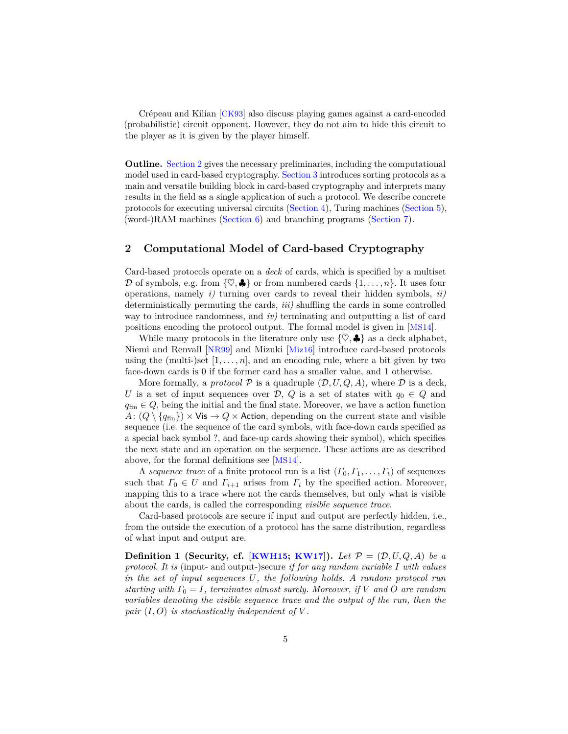Crépeau and Kilian [[CK93](#page-27-0)] also discuss playing games against a card-encoded (probabilistic) circuit opponent. However, they do not aim to hide this circuit to the player as it is given by the player himself.

**Outline.** [Section 2](#page-4-0) gives the necessary preliminaries, including the computational model used in card-based cryptography. [Section 3](#page-5-0) introduces sorting protocols as a main and versatile building block in card-based cryptography and interprets many results in the field as a single application of such a protocol. We describe concrete protocols for executing universal circuits [\(Section 4\)](#page-10-0), Turing machines [\(Section 5\)](#page-14-0), (word-)RAM machines [\(Section 6\)](#page-17-0) and branching programs [\(Section 7\)](#page-21-0).

## <span id="page-4-0"></span>**2 Computational Model of Card-based Cryptography**

Card-based protocols operate on a *deck* of cards, which is specified by a multiset D of symbols, e.g. from  $\{\heartsuit, \clubsuit\}$  or from numbered cards  $\{1, \ldots, n\}$ . It uses four operations, namely *i)* turning over cards to reveal their hidden symbols, *ii)* deterministically permuting the cards, *iii)* shuffling the cards in some controlled way to introduce randomness, and *iv)* terminating and outputting a list of card positions encoding the protocol output. The formal model is given in [[MS14](#page-28-7)].

While many protocols in the literature only use  $\{\heartsuit, \clubsuit\}$  as a deck alphabet, Niemi and Renvall [[NR99](#page-29-4)] and Mizuki [[Miz16](#page-28-8)] introduce card-based protocols using the (multi-)set  $[1, \ldots, n]$ , and an encoding rule, where a bit given by two face-down cards is 0 if the former card has a smaller value, and 1 otherwise.

More formally, a *protocol*  $P$  is a quadruple  $(D, U, Q, A)$ , where  $D$  is a deck, *U* is a set of input sequences over D, Q is a set of states with  $q_0 \in Q$  and  $q_{fin} \in Q$ , being the initial and the final state. Moreover, we have a action function  $A: (Q \setminus \{q_{fin}\}) \times \mathsf{Vis} \rightarrow Q \times \mathsf{Action}$ , depending on the current state and visible sequence (i.e. the sequence of the card symbols, with face-down cards specified as a special back symbol ?, and face-up cards showing their symbol), which specifies the next state and an operation on the sequence. These actions are as described above, for the formal definitions see [[MS14](#page-28-7)].

A *sequence trace* of a finite protocol run is a list  $(\Gamma_0, \Gamma_1, \ldots, \Gamma_t)$  of sequences such that  $\Gamma_0 \in U$  and  $\Gamma_{i+1}$  arises from  $\Gamma_i$  by the specified action. Moreover, mapping this to a trace where not the cards themselves, but only what is visible about the cards, is called the corresponding *visible sequence trace*.

Card-based protocols are secure if input and output are perfectly hidden, i.e., from the outside the execution of a protocol has the same distribution, regardless of what input and output are.

**Definition 1** (Security, cf. [[KWH15](#page-28-9); [KW17](#page-28-1)]). Let  $\mathcal{P} = (\mathcal{D}, U, Q, A)$  be a *protocol. It is* (input- and output-)secure *if for any random variable I with values in the set of input sequences U, the following holds. A random protocol run starting with Γ*<sup>0</sup> = *I, terminates almost surely. Moreover, if V and O are random variables denoting the visible sequence trace and the output of the run, then the pair*  $(I, O)$  *is stochastically independent of*  $V$ .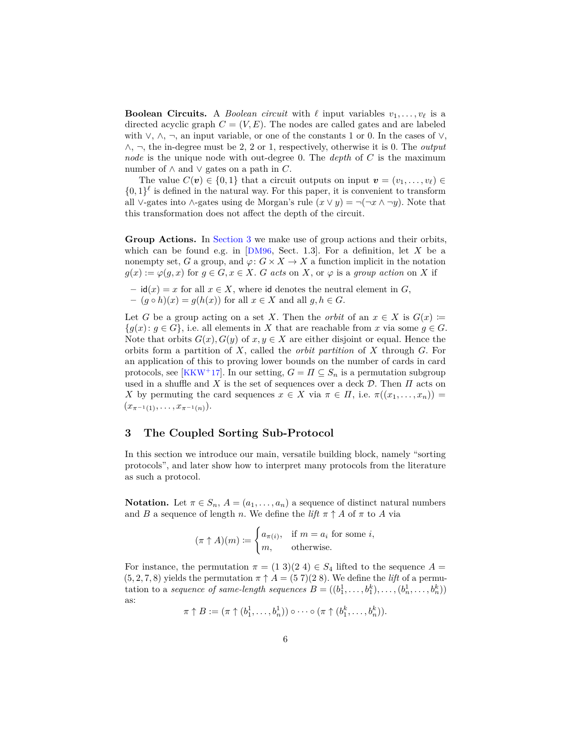**Boolean Circuits.** A *Boolean circuit* with  $\ell$  input variables  $v_1, \ldots, v_\ell$  is a directed acyclic graph  $C = (V, E)$ . The nodes are called gates and are labeled with  $\vee$ ,  $\wedge$ ,  $\neg$ , an input variable, or one of the constants 1 or 0. In the cases of  $\vee$ , ∧, ¬, the in-degree must be 2, 2 or 1, respectively, otherwise it is 0. The *output node* is the unique node with out-degree 0. The *depth* of *C* is the maximum number of  $\land$  and  $\lor$  gates on a path in *C*.

The value  $C(\mathbf{v}) \in \{0,1\}$  that a circuit outputs on input  $\mathbf{v} = (v_1, \ldots, v_\ell) \in$  $\{0,1\}^{\ell}$  is defined in the natural way. For this paper, it is convenient to transform all ∨-gates into ∧-gates using de Morgan's rule  $(x \lor y) = \neg(\neg x \land \neg y)$ . Note that this transformation does not affect the depth of the circuit.

**Group Actions.** In [Section 3](#page-5-0) we make use of group actions and their orbits, which can be found e.g. in [[DM96](#page-27-8), Sect. 1.3]. For a definition, let *X* be a nonempty set, *G* a group, and  $\varphi: G \times X \to X$  a function implicit in the notation  $g(x) := \varphi(g, x)$  for  $g \in G, x \in X$ . *G acts* on *X*, or  $\varphi$  is a *group action* on *X* if

- **–** id(*x*) = *x* for all *x* ∈ *X*, where id denotes the neutral element in *G*,
- **–** (*g h*)(*x*) = *g*(*h*(*x*)) for all *x* ∈ *X* and all *g, h* ∈ *G*.

Let *G* be a group acting on a set *X*. Then the *orbit* of an  $x \in X$  is  $G(x) :=$  ${g(x): g \in G}$ , i.e. all elements in *X* that are reachable from *x* via some  $g \in G$ . Note that orbits  $G(x)$ ,  $G(y)$  of  $x, y \in X$  are either disjoint or equal. Hence the orbits form a partition of *X*, called the *orbit partition* of *X* through *G*. For an application of this to proving lower bounds on the number of cards in card protocols, see [[KKW](#page-28-10)<sup>+</sup>17]. In our setting,  $G = \Pi \subseteq S_n$  is a permutation subgroup used in a shuffle and *X* is the set of sequences over a deck D. Then *Π* acts on *X* by permuting the card sequences  $x \in X$  via  $\pi \in \Pi$ , i.e.  $\pi((x_1, \ldots, x_n)) =$  $(x_{\pi^{-1}(1)}, \ldots, x_{\pi^{-1}(n)}).$ 

## <span id="page-5-0"></span>**3 The Coupled Sorting Sub-Protocol**

In this section we introduce our main, versatile building block, namely "sorting protocols", and later show how to interpret many protocols from the literature as such a protocol.

**Notation.** Let  $\pi \in S_n$ ,  $A = (a_1, \ldots, a_n)$  a sequence of distinct natural numbers and *B* a sequence of length *n*. We define the *lift*  $\pi \uparrow A$  of  $\pi$  to *A* via

$$
(\pi \uparrow A)(m) := \begin{cases} a_{\pi(i)}, & \text{if } m = a_i \text{ for some } i, \\ m, & \text{otherwise.} \end{cases}
$$

For instance, the permutation  $\pi = (1\ 3)(2\ 4) \in S_4$  lifted to the sequence  $A =$  $(5, 2, 7, 8)$  yields the permutation  $\pi \uparrow A = (57)(28)$ . We define the *lift* of a permutation to a *sequence of same-length sequences*  $B = ((b_1^1, \ldots, b_1^k), \ldots, (b_n^1, \ldots, b_n^k))$ as:

$$
\pi \uparrow B := (\pi \uparrow (b_1^1, \ldots, b_n^1)) \circ \cdots \circ (\pi \uparrow (b_1^k, \ldots, b_n^k)).
$$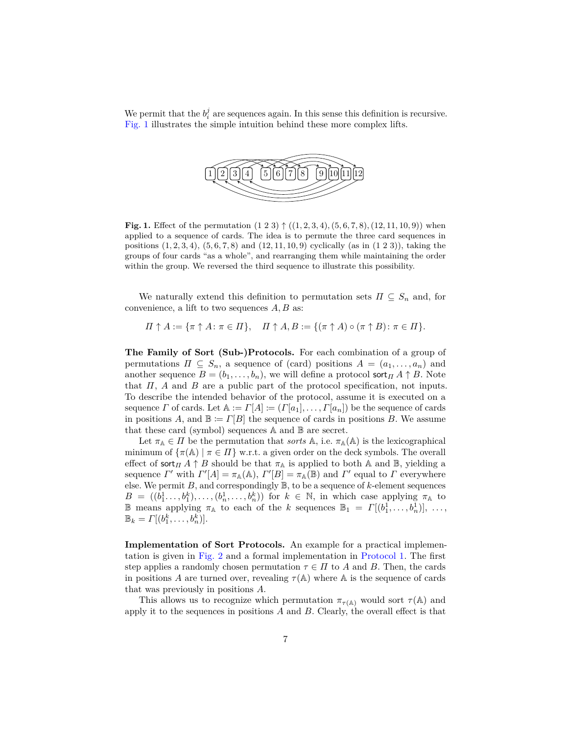We permit that the  $b_i^j$  are sequences again. In this sense this definition is recursive. [Fig. 1](#page-6-0) illustrates the simple intuition behind these more complex lifts.



<span id="page-6-0"></span>**Fig. 1.** Effect of the permutation  $(1\ 2\ 3) \uparrow ((1, 2, 3, 4), (5, 6, 7, 8), (12, 11, 10, 9))$  when applied to a sequence of cards. The idea is to permute the three card sequences in positions (1*,* 2*,* 3*,* 4), (5*,* 6*,* 7*,* 8) and (12*,* 11*,* 10*,* 9) cyclically (as in (1 2 3)), taking the groups of four cards "as a whole", and rearranging them while maintaining the order within the group. We reversed the third sequence to illustrate this possibility.

We naturally extend this definition to permutation sets  $\Pi \subseteq S_n$  and, for convenience, a lift to two sequences *A, B* as:

 $\Pi \uparrow A := {\pi \uparrow A : \pi \in \Pi}, \quad \Pi \uparrow A, B := {\pi \uparrow A} \circ (\pi \uparrow B) : \pi \in \Pi}.$ 

**The Family of Sort (Sub-)Protocols.** For each combination of a group of permutations  $\Pi \subseteq S_n$ , a sequence of (card) positions  $A = (a_1, \ldots, a_n)$  and another sequence  $B = (b_1, \ldots, b_n)$ , we will define a protocol sort<sub>*Π*</sub> *A*  $\uparrow$  *B*. Note that *Π*, *A* and *B* are a public part of the protocol specification, not inputs. To describe the intended behavior of the protocol, assume it is executed on a sequence *Γ* of cards. Let  $A := \Gamma[A] := (\Gamma[a_1], \ldots, \Gamma[a_n])$  be the sequence of cards in positions *A*, and  $\mathbb{B} := \Gamma[B]$  the sequence of cards in positions *B*. We assume that these card (symbol) sequences A and B are secret.

Let  $\pi_A \in \Pi$  be the permutation that *sorts* A, i.e.  $\pi_A(A)$  is the lexicographical minimum of  $\{\pi(\mathbb{A}) \mid \pi \in \Pi\}$  w.r.t. a given order on the deck symbols. The overall effect of sort $\prod A \uparrow B$  should be that  $\pi_A$  is applied to both A and B, yielding a sequence *Γ'* with  $\Gamma'[A] = \pi_{\mathbb{A}}(\mathbb{A}), \Gamma'[B] = \pi_{\mathbb{A}}(\mathbb{B})$  and  $\Gamma'$  equal to *Γ* everywhere else. We permit  $B$ , and correspondingly  $\mathbb{B}$ , to be a sequence of  $k$ -element sequences  $B = ((b_1^1, \ldots, b_1^k), \ldots, (b_n^1, \ldots, b_n^k))$  for  $k \in \mathbb{N}$ , in which case applying  $\pi_A$  to **E** means applying  $\pi_A$  to each of the *k* sequences  $\mathbb{B}_1 = \Gamma[(b_1^1, \ldots, b_n^1)], \ldots,$  $\mathbb{B}_k = \Gamma[(b_1^k, \ldots, b_n^k)].$ 

**Implementation of Sort Protocols.** An example for a practical implementation is given in [Fig. 2](#page-7-0) and a formal implementation in [Protocol 1.](#page-8-0) The first step applies a randomly chosen permutation  $\tau \in \Pi$  to *A* and *B*. Then, the cards in positions *A* are turned over, revealing  $\tau(A)$  where A is the sequence of cards that was previously in positions *A*.

This allows us to recognize which permutation  $\pi_{\tau(A)}$  would sort  $\tau(A)$  and apply it to the sequences in positions *A* and *B*. Clearly, the overall effect is that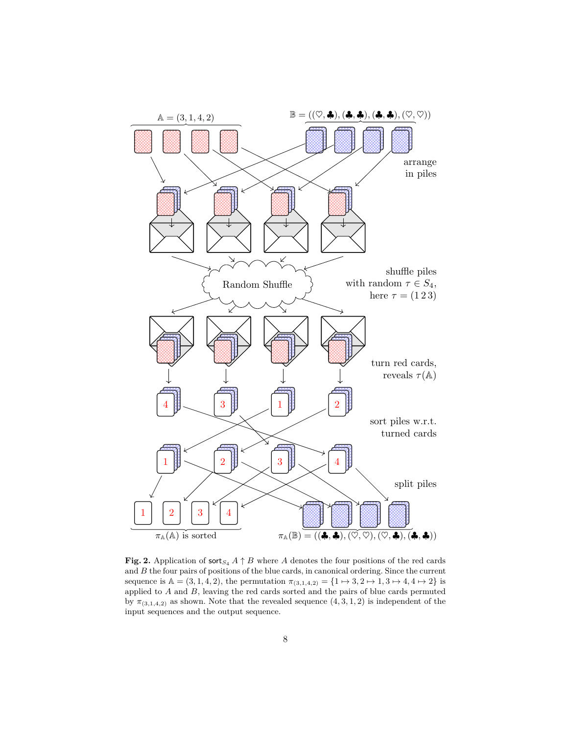

<span id="page-7-0"></span>**Fig. 2.** Application of  $\textsf{sort}_{S_4} A \uparrow B$  where *A* denotes the four positions of the red cards and *B* the four pairs of positions of the blue cards, in canonical ordering. Since the current sequence is  $A = (3, 1, 4, 2)$ , the permutation  $\pi_{(3,1,4,2)} = \{1 \mapsto 3, 2 \mapsto 1, 3 \mapsto 4, 4 \mapsto 2\}$  is applied to *A* and *B*, leaving the red cards sorted and the pairs of blue cards permuted by  $\pi_{(3,1,4,2)}$  as shown. Note that the revealed sequence  $(4,3,1,2)$  is independent of the input sequences and the output sequence.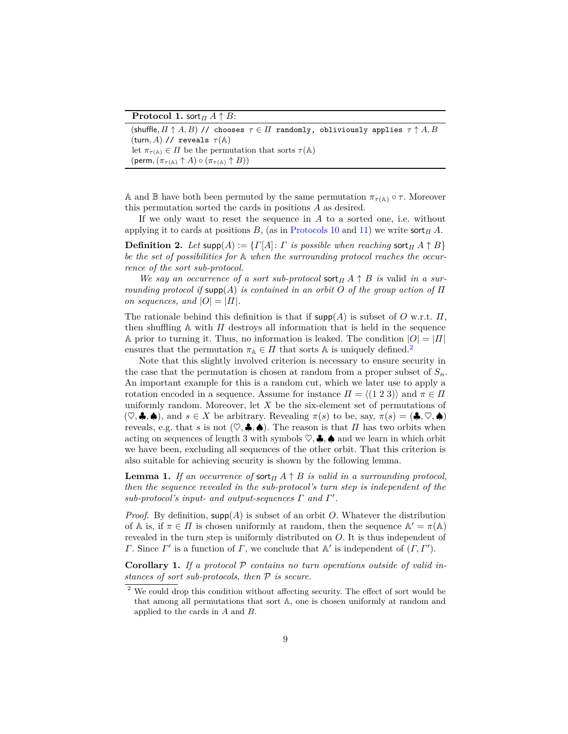**Protocol 1.** sort $\prod A \uparrow B$ :

```
(shuffle, \Pi \uparrow A, B) // chooses \tau \in \Pi randomly, obliviously applies \tau \uparrow A, B(turn, A) // reveals \tau(A)let \pi_{\tau(A)} \in \Pi be the permutation that sorts \tau(A)(\text{perm}, (\pi_{\tau(A)} \uparrow A) \circ (\pi_{\tau(A)} \uparrow B))
```
A and B have both been permuted by the same permutation  $\pi_{\tau(A)} \circ \tau$ . Moreover this permutation sorted the cards in positions *A* as desired.

If we only want to reset the sequence in *A* to a sorted one, i.e. without applying it to cards at positions *B*, (as in [Protocols 10](#page-19-0) and [11\)](#page-19-1) we write  $\text{sort}_{\Pi} A$ .

**Definition 2.** Let supp $(A) := \{ \Gamma[A] : \Gamma \text{ is possible when reaching } \text{sort}_{\Pi} A \uparrow B \}$ *be the set of possibilities for* A *when the surrounding protocol reaches the occurrence of the sort sub-protocol.*

*We say an occurrence of a sort sub-protocol* sort*<sup>Π</sup> A* ↑ *B is* valid *in a surrounding protocol if* supp(*A*) *is contained in an orbit O of the group action of Π on sequences, and*  $|O| = |H|$ *.* 

The rationale behind this definition is that if supp(*A*) is subset of *O* w.r.t. *Π*, then shuffling  $A$  with  $I$  destroys all information that is held in the sequence A prior to turning it. Thus, no information is leaked. The condition  $|O| = |I|$ ensures that the permutation  $\pi_A \in \Pi$  that sorts A is uniquely defined.<sup>[2](#page-8-1)</sup>

Note that this slightly involved criterion is necessary to ensure security in the case that the permutation is chosen at random from a proper subset of  $S_n$ . An important example for this is a random cut, which we later use to apply a rotation encoded in a sequence. Assume for instance  $\Pi = \langle (1\ 2\ 3) \rangle$  and  $\pi \in \Pi$ uniformly random. Moreover, let *X* be the six-element set of permutations of  $(\heartsuit, \clubsuit, \spadesuit)$ , and  $s \in X$  be arbitrary. Revealing  $\pi(s)$  to be, say,  $\pi(s) = (\clubsuit, \heartsuit, \spadesuit)$ reveals, e.g. that *s* is not  $(\heartsuit, \clubsuit, \spadesuit)$ . The reason is that *Π* has two orbits when acting on sequences of length 3 with symbols  $\heartsuit$ ,  $\clubsuit$ ,  $\spadesuit$  and we learn in which orbit we have been, excluding all sequences of the other orbit. That this criterion is also suitable for achieving security is shown by the following lemma.

<span id="page-8-2"></span>**Lemma 1.** *If an occurrence of* sort $\overline{H}$  *A*  $\uparrow$  *B is valid in a surrounding protocol, then the sequence revealed in the sub-protocol's turn step is independent of the*  $sub-protocol's input- and output-sequences \Gamma and \Gamma'.$ 

*Proof.* By definition, supp(*A*) is subset of an orbit *O*. Whatever the distribution of  $\mathbb A$  is, if  $\pi \in \Pi$  is chosen uniformly at random, then the sequence  $\mathbb A' = \pi(\mathbb A)$ revealed in the turn step is uniformly distributed on *O*. It is thus independent of *Γ*. Since *Γ*' is a function of *Γ*, we conclude that  $\mathbb{A}'$  is independent of  $(\Gamma, \Gamma')$ .

<span id="page-8-3"></span>**Corollary 1.** *If a protocol* P *contains no turn operations outside of valid instances of sort sub-protocols, then* P *is secure.*

<span id="page-8-1"></span> $^{\rm 2}$  We could drop this condition without affecting security. The effect of sort would be that among all permutations that sort A, one is chosen uniformly at random and applied to the cards in *A* and *B*.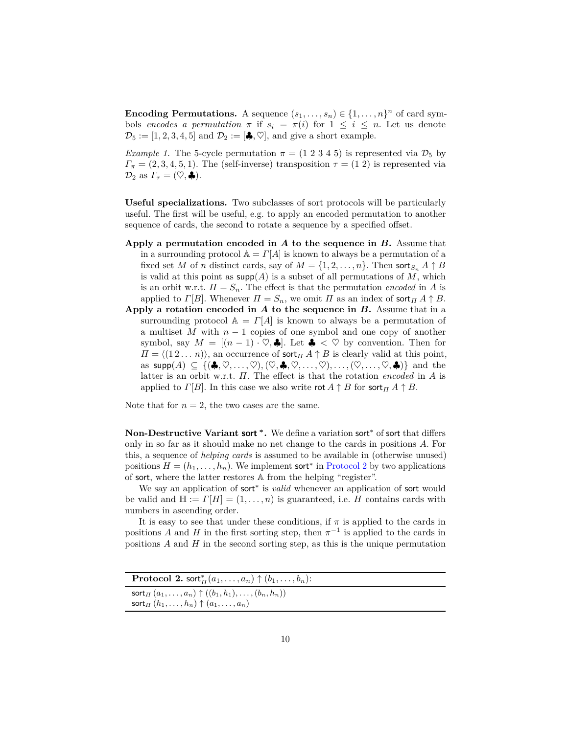**Encoding Permutations.** A sequence  $(s_1, \ldots, s_n) \in \{1, \ldots, n\}^n$  of card symbols *encodes a permutation*  $\pi$  if  $s_i = \pi(i)$  for  $1 \leq i \leq n$ . Let us denote  $\mathcal{D}_5 := [1, 2, 3, 4, 5]$  and  $\mathcal{D}_2 := [\clubsuit, \heartsuit]$ , and give a short example.

*Example 1.* The 5-cycle permutation  $\pi = (1\ 2\ 3\ 4\ 5)$  is represented via  $\mathcal{D}_5$  by  $\Gamma_{\pi} = (2,3,4,5,1)$ . The (self-inverse) transposition  $\tau = (1\ 2)$  is represented via  $\mathcal{D}_2$  as  $\Gamma_\tau = (\heartsuit, \clubsuit).$ 

**Useful specializations.** Two subclasses of sort protocols will be particularly useful. The first will be useful, e.g. to apply an encoded permutation to another sequence of cards, the second to rotate a sequence by a specified offset.

- **Apply a permutation encoded in** *A* **to the sequence in** *B***.** Assume that in a surrounding protocol  $A = \Gamma[A]$  is known to always be a permutation of a fixed set *M* of *n* distinct cards, say of  $M = \{1, 2, \ldots, n\}$ . Then sort<sub>*S<sub>n</sub>*</sub>  $A \uparrow B$ is valid at this point as  $\text{supp}(A)$  is a subset of all permutations of M, which is an orbit w.r.t.  $\Pi = S_n$ . The effect is that the permutation *encoded* in *A* is applied to *Γ*[*B*]. Whenever  $\Pi = S_n$ , we omit  $\Pi$  as an index of sort $\Pi$  *A*  $\uparrow$  *B*.
- **Apply a rotation encoded in** *A* **to the sequence in** *B***.** Assume that in a surrounding protocol  $A = \Gamma[A]$  is known to always be a permutation of a multiset *M* with *n* − 1 copies of one symbol and one copy of another symbol, say  $M = [(n-1) \cdot \heartsuit, \clubsuit]$ . Let  $\clubsuit < \heartsuit$  by convention. Then for  $\Pi = \langle (1 2 ... n) \rangle$ , an occurrence of sort<sub>*Π*</sub> *A*  $\uparrow$  *B* is clearly valid at this point, as  $\textsf{supp}(A) \subseteq \{(\clubsuit, \heartsuit, \ldots, \heartsuit), (\heartsuit, \clubsuit, \heartsuit, \ldots, \heartsuit), \ldots, (\heartsuit, \ldots, \heartsuit, \clubsuit)\}\$ and the latter is an orbit w.r.t. *Π*. The effect is that the rotation *encoded* in *A* is applied to *Γ*[*B*]. In this case we also write rot  $A \uparrow B$  for sort  $\pi A \uparrow B$ .

Note that for  $n = 2$ , the two cases are the same.

**Non-Destructive Variant sort <sup>∗</sup> .** We define a variation sort<sup>∗</sup> of sort that differs only in so far as it should make no net change to the cards in positions *A*. For this, a sequence of *helping cards* is assumed to be available in (otherwise unused) positions  $H = (h_1, \ldots, h_n)$ . We implement sort<sup>\*</sup> in [Protocol 2](#page-9-0) by two applications of sort, where the latter restores A from the helping "register".

We say an application of sort<sup>∗</sup> is *valid* whenever an application of sort would be valid and  $\mathbb{H} := \Gamma[H] = (1, \ldots, n)$  is guaranteed, i.e. *H* contains cards with numbers in ascending order.

It is easy to see that under these conditions, if  $\pi$  is applied to the cards in positions *A* and *H* in the first sorting step, then  $\pi^{-1}$  is applied to the cards in positions *A* and *H* in the second sorting step, as this is the unique permutation

<span id="page-9-0"></span>

| <b>Protocol 2.</b> sort $^*_{\Pi}(a_1,\ldots,a_n) \uparrow (b_1,\ldots,b_n)$ : |
|--------------------------------------------------------------------------------|
| sort <sub><i>II</i></sub> $(a_1, , a_n) \uparrow ((b_1, h_1), , (b_n, h_n))$   |
| sort $\pi$ $(h_1, \ldots, h_n) \uparrow (a_1, \ldots, a_n)$                    |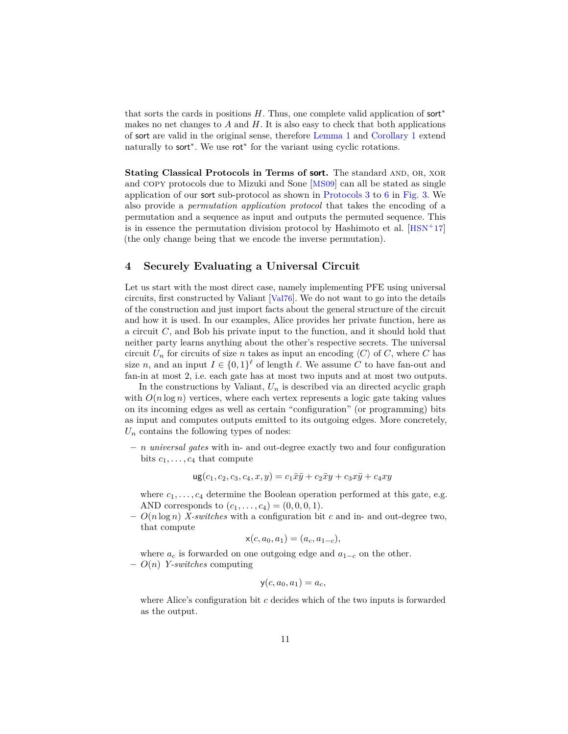that sorts the cards in positions *H*. Thus, one complete valid application of sort<sup>∗</sup> makes no net changes to *A* and *H*. It is also easy to check that both applications of sort are valid in the original sense, therefore [Lemma 1](#page-8-2) and [Corollary 1](#page-8-3) extend naturally to sort<sup>\*</sup>. We use rot<sup>\*</sup> for the variant using cyclic rotations.

**Stating Classical Protocols in Terms of sort.** The standard and, or, xor and copy protocols due to Mizuki and Sone [[MS09](#page-28-0)] can all be stated as single application of our sort sub-protocol as shown in [Protocols 3](#page-11-0) to [6](#page-11-1) in [Fig. 3.](#page-11-2) We also provide a *permutation application protocol* that takes the encoding of a permutation and a sequence as input and outputs the permuted sequence. This is in essence the permutation division protocol by Hashimoto et al.  $[**HSN**<sup>+</sup>17]$  $[**HSN**<sup>+</sup>17]$  $[**HSN**<sup>+</sup>17]$ (the only change being that we encode the inverse permutation).

## <span id="page-10-0"></span>**4 Securely Evaluating a Universal Circuit**

Let us start with the most direct case, namely implementing PFE using universal circuits, first constructed by Valiant [[Val76](#page-29-0)]. We do not want to go into the details of the construction and just import facts about the general structure of the circuit and how it is used. In our examples, Alice provides her private function, here as a circuit *C*, and Bob his private input to the function, and it should hold that neither party learns anything about the other's respective secrets. The universal circuit  $U_n$  for circuits of size *n* takes as input an encoding  $\langle C \rangle$  of *C*, where *C* has size *n*, and an input  $I \in \{0,1\}^{\ell}$  of length  $\ell$ . We assume *C* to have fan-out and fan-in at most 2, i.e. each gate has at most two inputs and at most two outputs.

In the constructions by Valiant,  $U_n$  is described via an directed acyclic graph with  $O(n \log n)$  vertices, where each vertex represents a logic gate taking values on its incoming edges as well as certain "configuration" (or programming) bits as input and computes outputs emitted to its outgoing edges. More concretely,  $U_n$  contains the following types of nodes:

**–** *n universal gates* with in- and out-degree exactly two and four configuration bits  $c_1, \ldots, c_4$  that compute

$$
ug(c_1, c_2, c_3, c_4, x, y) = c_1 \bar{x} \bar{y} + c_2 \bar{x} y + c_3 x \bar{y} + c_4 x y
$$

where  $c_1, \ldots, c_4$  determine the Boolean operation performed at this gate, e.g. AND corresponds to  $(c_1, \ldots, c_4) = (0, 0, 0, 1)$ .

**–** *O*(*n* log *n*) *X-switches* with a configuration bit *c* and in- and out-degree two, that compute

$$
x(c, a_0, a_1) = (a_c, a_{1-c}),
$$

where  $a_c$  is forwarded on one outgoing edge and  $a_{1-c}$  on the other. **–** *O*(*n*) *Y-switches* computing

$$
y(c, a_0, a_1) = a_c,
$$

where Alice's configuration bit *c* decides which of the two inputs is forwarded as the output.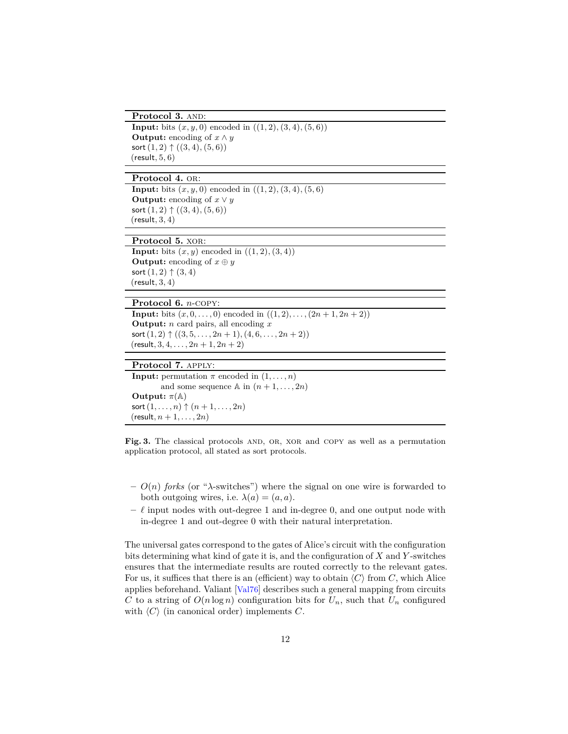Protocol 3. AND:

```
Input: bits (x, y, 0) encoded in ((1, 2), (3, 4), (5, 6))Output: encoding of x \wedge ysort(1, 2) ↑ ((3, 4),(5, 6))
(result, 5, 6)
```
Protocol 4. OR:

<span id="page-11-3"></span>**Input:** bits  $(x, y, 0)$  encoded in  $((1, 2), (3, 4), (5, 6))$ **Output:** encoding of  $x \vee y$ sort(1*,* 2) ↑ ((3*,* 4)*,*(5*,* 6)) (result*,* 3*,* 4)

Protocol 5. XOR:

**Input:** bits  $(x, y)$  encoded in  $((1, 2), (3, 4))$ **Output:** encoding of  $x \oplus y$ sort  $(1, 2)$   $\uparrow$   $(3, 4)$ (result*,* 3*,* 4)

#### **Protocol 6.** *n*-copy:

<span id="page-11-1"></span>**Input:** bits  $(x, 0, \ldots, 0)$  encoded in  $((1, 2), \ldots, (2n + 1, 2n + 2))$ **Output:** *n* card pairs, all encoding *x* sort  $(1, 2) \uparrow ((3, 5, \ldots, 2n + 1), (4, 6, \ldots, 2n + 2))$  $(r \text{esult}, 3, 4, \ldots, 2n + 1, 2n + 2)$ 

## **Protocol 7.** apply:

**Input:** permutation  $\pi$  encoded in  $(1, \ldots, n)$ and some sequence  $\mathbb A$  in  $(n+1,\ldots,2n)$ **Output:**  $\pi(\mathbb{A})$  $sort(1, ..., n)$   $\uparrow$   $(n + 1, ..., 2n)$  $(r$ esult*, n* + 1*, . . . , 2n*)

<span id="page-11-2"></span>Fig. 3. The classical protocols AND, OR, XOR and COPY as well as a permutation application protocol, all stated as sort protocols.

- **–** *O*(*n*) *forks* (or "*λ*-switches") where the signal on one wire is forwarded to both outgoing wires, i.e.  $\lambda(a) = (a, a)$ .
- $\ell$  input nodes with out-degree 1 and in-degree 0, and one output node with in-degree 1 and out-degree 0 with their natural interpretation.

The universal gates correspond to the gates of Alice's circuit with the configuration bits determining what kind of gate it is, and the configuration of *X* and *Y* -switches ensures that the intermediate results are routed correctly to the relevant gates. For us, it suffices that there is an (efficient) way to obtain  $\langle C \rangle$  from *C*, which Alice applies beforehand. Valiant [[Val76](#page-29-0)] describes such a general mapping from circuits *C* to a string of  $O(n \log n)$  configuration bits for  $U_n$ , such that  $U_n$  configured with  $\langle C \rangle$  (in canonical order) implements *C*.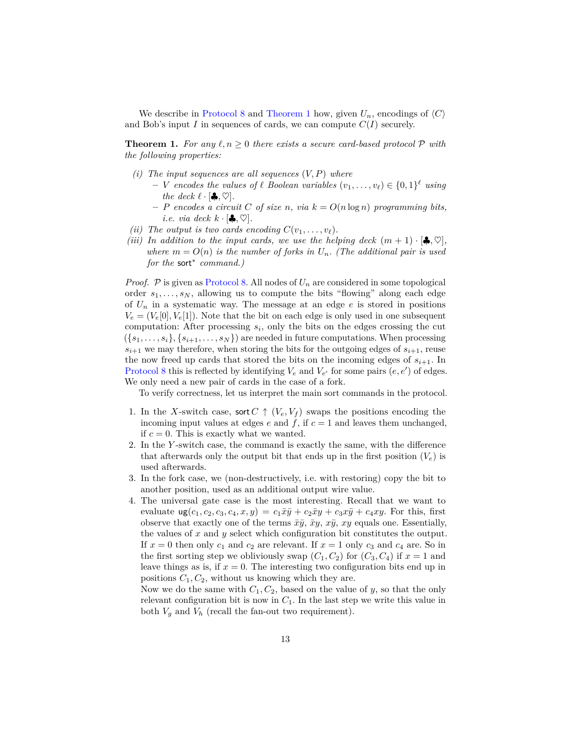We describe in [Protocol 8](#page-13-0) and [Theorem 1](#page-12-0) how, given  $U_n$ , encodings of  $\langle C \rangle$ and Bob's input *I* in sequences of cards, we can compute  $C(I)$  securely.

<span id="page-12-0"></span>**Theorem 1.** For any  $\ell, n \geq 0$  there exists a secure card-based protocol  $\mathcal{P}$  with *the following properties:*

- *(i) The input sequences are all sequences* (*V, P*) *where*
	- $\mathbf{v} = \mathbf{V}$  *encodes the values of*  $\ell$  *Boolean variables*  $(v_1, \ldots, v_\ell) \in \{0, 1\}^{\ell}$  *using the deck*  $\ell \cdot [\clubsuit, \heartsuit]$ *.*
	- $P$  *encodes a circuit C of size n, via*  $k = O(n \log n)$  *programming bits, i.e. via deck*  $k \cdot [\clubsuit, \heartsuit]$ *.*
- *(ii) The output is two cards encoding*  $C(v_1, \ldots, v_\ell)$ *.*
- *(iii)* In addition to the input cards, we use the helping deck  $(m + 1) \cdot [\clubsuit, \heartsuit]$ , *where*  $m = O(n)$  *is the number of forks in*  $U_n$ *. (The additional pair is used for the* sort<sup>∗</sup> *command.)*

*Proof.*  $P$  is given as [Protocol 8.](#page-13-0) All nodes of  $U_n$  are considered in some topological order  $s_1, \ldots, s_N$ , allowing us to compute the bits "flowing" along each edge of  $U_n$  in a systematic way. The message at an edge  $e$  is stored in positions  $V_e = (V_e[0], V_e[1])$ . Note that the bit on each edge is only used in one subsequent computation: After processing  $s_i$ , only the bits on the edges crossing the cut  $({s_1, \ldots, s_i}, {s_{i+1}, \ldots, s_N})$  are needed in future computations. When processing  $s_{i+1}$  we may therefore, when storing the bits for the outgoing edges of  $s_{i+1}$ , reuse the now freed up cards that stored the bits on the incoming edges of  $s_{i+1}$ . In [Protocol 8](#page-13-0) this is reflected by identifying  $V_e$  and  $V_{e'}$  for some pairs  $(e, e')$  of edges. We only need a new pair of cards in the case of a fork.

To verify correctness, let us interpret the main sort commands in the protocol.

- 1. In the *X*-switch case, sort  $C \uparrow (V_e, V_f)$  swaps the positions encoding the incoming input values at edges  $e$  and  $f$ , if  $c = 1$  and leaves them unchanged, if  $c = 0$ . This is exactly what we wanted.
- 2. In the *Y* -switch case, the command is exactly the same, with the difference that afterwards only the output bit that ends up in the first position  $(V_e)$  is used afterwards.
- 3. In the fork case, we (non-destructively, i.e. with restoring) copy the bit to another position, used as an additional output wire value.
- 4. The universal gate case is the most interesting. Recall that we want to evaluate  $\arg(c_1, c_2, c_3, c_4, x, y) = c_1 \bar{x} \bar{y} + c_2 \bar{x} y + c_3 x \bar{y} + c_4 x y$ . For this, first observe that exactly one of the terms  $\bar{x}\bar{y}$ ,  $\bar{x}y$ ,  $x\bar{y}$ ,  $xy$  equals one. Essentially, the values of *x* and *y* select which configuration bit constitutes the output. If  $x = 0$  then only  $c_1$  and  $c_2$  are relevant. If  $x = 1$  only  $c_3$  and  $c_4$  are. So in the first sorting step we obliviously swap  $(C_1, C_2)$  for  $(C_3, C_4)$  if  $x = 1$  and leave things as is, if  $x = 0$ . The interesting two configuration bits end up in positions  $C_1, C_2$ , without us knowing which they are.

Now we do the same with *C*1*, C*2, based on the value of *y*, so that the only relevant configuration bit is now in  $C_1$ . In the last step we write this value in both  $V_g$  and  $V_h$  (recall the fan-out two requirement).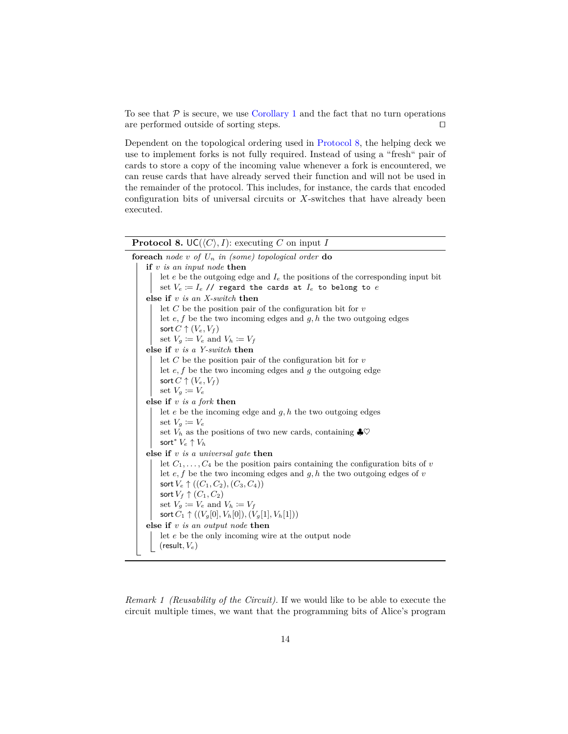To see that  $P$  is secure, we use [Corollary 1](#page-8-3) and the fact that no turn operations are performed outside of sorting steps.  $\Box$ 

Dependent on the topological ordering used in [Protocol 8,](#page-13-0) the helping deck we use to implement forks is not fully required. Instead of using a "fresh" pair of cards to store a copy of the incoming value whenever a fork is encountered, we can reuse cards that have already served their function and will not be used in the remainder of the protocol. This includes, for instance, the cards that encoded configuration bits of universal circuits or *X*-switches that have already been executed.

# **Protocol 8.**  $UC(\langle C \rangle, I)$ : executing *C* on input *I*

<span id="page-13-0"></span>

| <b>foreach</b> node v of $U_n$ in (some) topological order <b>do</b> |                                                                                     |
|----------------------------------------------------------------------|-------------------------------------------------------------------------------------|
|                                                                      | if $v$ is an input node then                                                        |
|                                                                      | let e be the outgoing edge and $I_e$ the positions of the corresponding input bit   |
|                                                                      | set $V_e := I_e$ // regard the cards at $I_e$ to belong to $e$                      |
|                                                                      | else if $v$ is an X-switch then                                                     |
|                                                                      | let C be the position pair of the configuration bit for $v$                         |
|                                                                      | let $e, f$ be the two incoming edges and $g, h$ the two outgoing edges              |
|                                                                      | sort $C \uparrow (V_e, V_f)$                                                        |
|                                                                      | set $V_g \coloneqq V_e$ and $V_h \coloneqq V_f$                                     |
|                                                                      | else if $v$ is a Y-switch then                                                      |
|                                                                      | let C be the position pair of the configuration bit for $v$                         |
|                                                                      | let $e, f$ be the two incoming edges and $g$ the outgoing edge                      |
|                                                                      | sort $C \uparrow (V_e, V_f)$                                                        |
|                                                                      | set $V_q \coloneqq V_e$                                                             |
|                                                                      | else if $v$ is a fork then                                                          |
|                                                                      | let $e$ be the incoming edge and $g, h$ the two outgoing edges                      |
|                                                                      | set $V_q := V_e$                                                                    |
|                                                                      | set $V_h$ as the positions of two new cards, containing $\clubsuit \heartsuit$      |
|                                                                      | sort* $V_e \uparrow V_h$                                                            |
|                                                                      | else if $v$ is a universal gate then                                                |
|                                                                      | let $C_1, \ldots, C_4$ be the position pairs containing the configuration bits of v |
|                                                                      | let $e, f$ be the two incoming edges and $g, h$ the two outgoing edges of v         |
|                                                                      | sort $V_e \uparrow ((C_1, C_2), (C_3, C_4))$                                        |
|                                                                      | sort $V_f \uparrow (C_1, C_2)$                                                      |
|                                                                      | set $V_g \coloneqq V_e$ and $V_h \coloneqq V_f$                                     |
|                                                                      | sort $C_1 \uparrow ((V_q[0], V_h[0]), (V_q[1], V_h[1]))$                            |
|                                                                      | else if $v$ is an output node then                                                  |
|                                                                      | let e be the only incoming wire at the output node                                  |
|                                                                      | $(\text{result}, V_e)$                                                              |
|                                                                      |                                                                                     |

*Remark 1 (Reusability of the Circuit).* If we would like to be able to execute the circuit multiple times, we want that the programming bits of Alice's program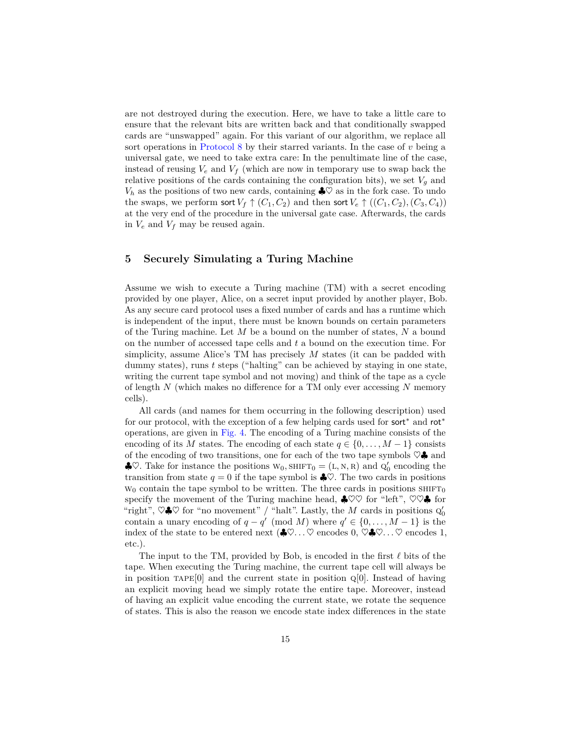are not destroyed during the execution. Here, we have to take a little care to ensure that the relevant bits are written back and that conditionally swapped cards are "unswapped" again. For this variant of our algorithm, we replace all sort operations in [Protocol 8](#page-13-0) by their starred variants. In the case of *v* being a universal gate, we need to take extra care: In the penultimate line of the case, instead of reusing  $V_e$  and  $V_f$  (which are now in temporary use to swap back the relative positions of the cards containing the configuration bits), we set  $V_g$  and  $V_h$  as the positions of two new cards, containing  $\clubsuit \heartsuit$  as in the fork case. To undo the swaps, we perform sort  $V_f \uparrow (C_1, C_2)$  and then sort  $V_e \uparrow ((C_1, C_2), (C_3, C_4))$ at the very end of the procedure in the universal gate case. Afterwards, the cards in  $V_e$  and  $V_f$  may be reused again.

## <span id="page-14-0"></span>**5 Securely Simulating a Turing Machine**

Assume we wish to execute a Turing machine (TM) with a secret encoding provided by one player, Alice, on a secret input provided by another player, Bob. As any secure card protocol uses a fixed number of cards and has a runtime which is independent of the input, there must be known bounds on certain parameters of the Turing machine. Let *M* be a bound on the number of states, *N* a bound on the number of accessed tape cells and *t* a bound on the execution time. For simplicity, assume Alice's TM has precisely *M* states (it can be padded with dummy states), runs *t* steps ("halting" can be achieved by staying in one state, writing the current tape symbol and not moving) and think of the tape as a cycle of length *N* (which makes no difference for a TM only ever accessing *N* memory cells).

All cards (and names for them occurring in the following description) used for our protocol, with the exception of a few helping cards used for sort<sup>\*</sup> and rot<sup>\*</sup> operations, are given in [Fig. 4.](#page-15-0) The encoding of a Turing machine consists of the encoding of its *M* states. The encoding of each state  $q \in \{0, \ldots, M-1\}$  consists of the encoding of two transitions, one for each of the two tape symbols  $\heartsuit\clubsuit$  and  $\clubsuit \heartsuit$ . Take for instance the positions  $W_0$ ,  $SHIFT_0 = (L, N, R)$  and  $Q'_0$  encoding the transition from state  $q = 0$  if the tape symbol is  $\clubsuit \heartsuit$ . The two cards in positions  $w_0$  contain the tape symbol to be written. The three cards in positions  $SHIFT_0$ specify the movement of the Turing machine head,  $\clubsuit \heartsuit \heartsuit$  for "left",  $\heartsuit \heartsuit \clubsuit$  for "right",  $\heartsuit \clubsuit \heartsuit$  for "no movement" / "halt". Lastly, the *M* cards in positions  $Q'_0$ contain a unary encoding of  $q - q' \pmod{M}$  where  $q' \in \{0, \ldots, M - 1\}$  is the index of the state to be entered next  $(\clubsuit \heartsuit \dots \heartsuit$  encodes  $0, \heartsuit \clubsuit \heartsuit \dots \heartsuit$  encodes 1, etc.).

The input to the TM, provided by Bob, is encoded in the first  $\ell$  bits of the tape. When executing the Turing machine, the current tape cell will always be in position  $TAPE[0]$  and the current state in position  $Q[0]$ . Instead of having an explicit moving head we simply rotate the entire tape. Moreover, instead of having an explicit value encoding the current state, we rotate the sequence of states. This is also the reason we encode state index differences in the state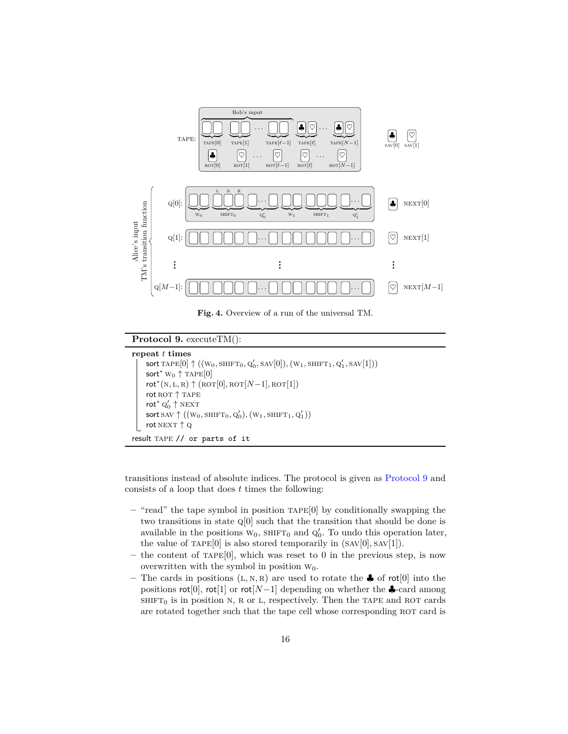

<span id="page-15-0"></span>**Fig. 4.** Overview of a run of the universal TM.

#### **Protocol 9.** executeTM():

```
repeat t times
        \textsf{sort}\ \text{TAPE}[0] \uparrow ((\text{w}_0, \text{shiff}_0, \text{Q}'_0, \text{SAV}[0]), (\text{w}_1, \text{shiff}_1, \text{Q}'_1, \text{SAV}[1]))sort<sup>*</sup> W<sub>0</sub> \uparrow TAPE[0]
        rot^*(N, L, R) \uparrow (ROT[0],ROT[N-1],ROT[1])
```

```
rot ROT ↑ TAPE
rot^* Q'_0 \uparrow NEXT
\mathsf{sort} SAV \uparrow ((w_0, \text{SHIFT}_0, \text{Q}'_0), (w_1, \text{SHIFT}_1, \text{Q}'_1))rot NEXT ↑ Q
```

```
result tape // or parts of it
```
transitions instead of absolute indices. The protocol is given as [Protocol 9](#page-15-1) and consists of a loop that does *t* times the following:

- **–** "read" the tape symbol in position tape[0] by conditionally swapping the two transitions in state q[0] such that the transition that should be done is available in the positions  $W_0$ , SHIFT<sub>0</sub> and  $Q'_0$ . To undo this operation later, the value of  $Tape[0]$  is also stored temporarily in  $(SAV[0], SAV[1])$ .
- **–** the content of tape[0], which was reset to 0 in the previous step, is now overwritten with the symbol in position  $W_0$ .
- The cards in positions  $(L, N, R)$  are used to rotate the  $\clubsuit$  of rot<sup>[0]</sup> into the positions  $\text{rot}[0]$ ,  $\text{rot}[1]$  or  $\text{rot}[N-1]$  depending on whether the  $\clubsuit$ -card among  $SHIFT<sub>0</sub>$  is in position N, R or L, respectively. Then the TAPE and ROT cards are rotated together such that the tape cell whose corresponding ROT card is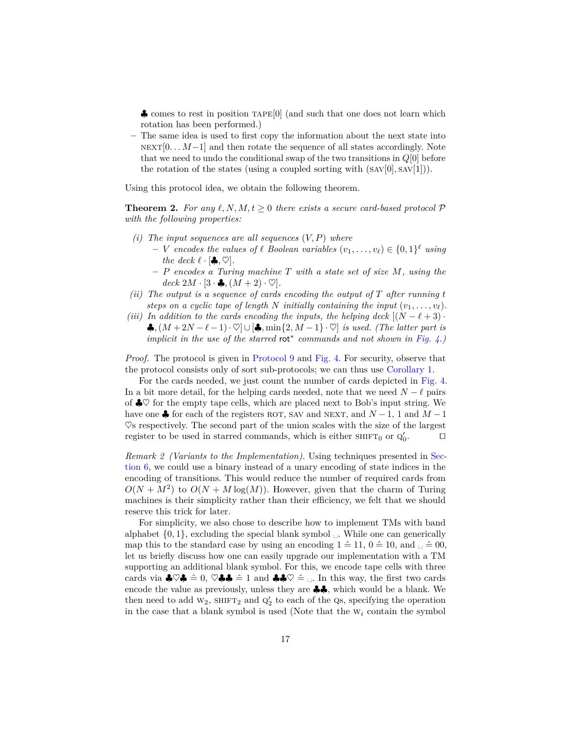♣ comes to rest in position tape[0] (and such that one does not learn which rotation has been performed.)

**–** The same idea is used to first copy the information about the next state into NEXT[0. . . *M*−1] and then rotate the sequence of all states accordingly. Note that we need to undo the conditional swap of the two transitions in *Q*[0] before the rotation of the states (using a coupled sorting with  $(SAV[0], SAV[1]))$ .

Using this protocol idea, we obtain the following theorem.

**Theorem 2.** For any  $\ell, N, M, t > 0$  there exists a secure card-based protocol  $\mathcal{P}$ *with the following properties:*

- *(i) The input sequences are all sequences* (*V, P*) *where*
	- $\mathbf{v} = \mathbf{V}$  *encodes the values of*  $\ell$  *Boolean variables*  $(v_1, \ldots, v_\ell) \in \{0, 1\}^{\ell}$  *using the deck*  $\ell \cdot [\clubsuit, \heartsuit]$ *.*
	- **–** *P encodes a Turing machine T with a state set of size M, using the*  $deck\ 2M\cdot[3\cdot\clubsuit,(M+2)\cdot\heartsuit].$
- *(ii) The output is a sequence of cards encoding the output of T after running t steps on a cyclic tape of length N initially containing the input*  $(v_1, \ldots, v_\ell)$ *.*
- *(iii)* In addition to the cards encoding the inputs, the helping deck  $[(N \ell + 3) \cdot$ ♣*,*(*M* + 2*N* − *`* − 1)· ♥]∪[♣*,* min{2*, M* − 1} · ♥] *is used. (The latter part is implicit in the use of the starred* rot<sup>∗</sup> *commands and not shown in [Fig. 4.](#page-15-0))*

*Proof.* The protocol is given in [Protocol 9](#page-15-1) and [Fig. 4.](#page-15-0) For security, observe that the protocol consists only of sort sub-protocols; we can thus use [Corollary 1.](#page-8-3)

For the cards needed, we just count the number of cards depicted in [Fig. 4.](#page-15-0) In a bit more detail, for the helping cards needed, note that we need  $N - \ell$  pairs of  $\clubsuit \heartsuit$  for the empty tape cells, which are placed next to Bob's input string. We have one  $\clubsuit$  for each of the registers ROT, SAV and NEXT, and  $N-1$ , 1 and  $M-1$  $\heartsuit$ s respectively. The second part of the union scales with the size of the largest register to be used in starred commands, which is either  $\textsc{shirr}_0$  or  $\textsc{q}_0'$  $\Box$ 

*Remark 2 (Variants to the Implementation).* Using techniques presented in [Sec](#page-17-0)[tion 6,](#page-17-0) we could use a binary instead of a unary encoding of state indices in the encoding of transitions. This would reduce the number of required cards from  $O(N + M^2)$  to  $O(N + M \log(M))$ . However, given that the charm of Turing machines is their simplicity rather than their efficiency, we felt that we should reserve this trick for later.

For simplicity, we also chose to describe how to implement TMs with band alphabet  $\{0, 1\}$ , excluding the special blank symbol  $\Box$ . While one can generically map this to the standard case by using an encoding  $1 \hat{=} 11, 0 \hat{=} 10$ , and  $\Box \hat{=} 00$ . let us briefly discuss how one can easily upgrade our implementation with a TM supporting an additional blank symbol. For this, we encode tape cells with three cards via  $\clubsuit \heartsuit \clubsuit \hat{=} 0$ ,  $\heartsuit \clubsuit \clubsuit \hat{=} 1$  and  $\clubsuit \clubsuit \heartsuit \hat{=} \square$ . In this way, the first two cards encode the value as previously, unless they are ♣♣, which would be a blank. We then need to add  $W_2$ , SHIFT<sub>2</sub> and  $Q'_2$  to each of the Qs, specifying the operation in the case that a blank symbol is used (Note that the  $W_i$  contain the symbol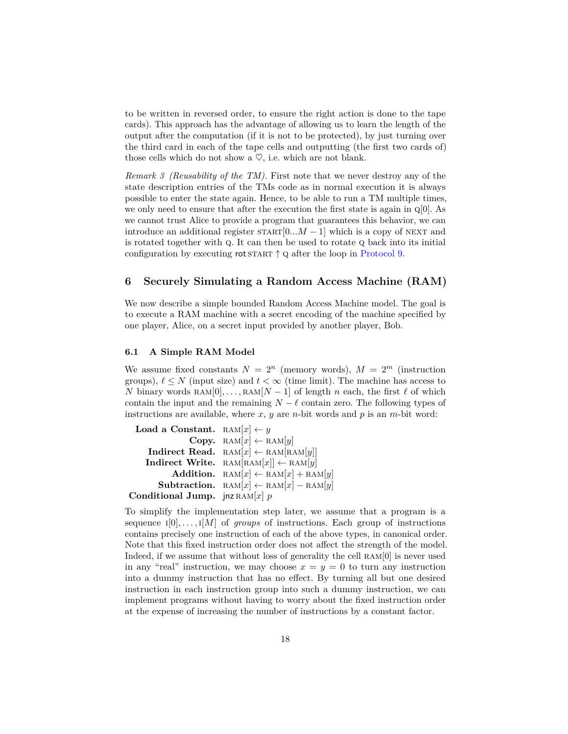to be written in reversed order, to ensure the right action is done to the tape cards). This approach has the advantage of allowing us to learn the length of the output after the computation (if it is not to be protected), by just turning over the third card in each of the tape cells and outputting (the first two cards of) those cells which do not show a  $\heartsuit$ , i.e. which are not blank.

<span id="page-17-1"></span>*Remark 3 (Reusability of the TM).* First note that we never destroy any of the state description entries of the TMs code as in normal execution it is always possible to enter the state again. Hence, to be able to run a TM multiple times, we only need to ensure that after the execution the first state is again in q[0]. As we cannot trust Alice to provide a program that guarantees this behavior, we can introduce an additional register  $START[0...M-1]$  which is a copy of NEXT and is rotated together with q. It can then be used to rotate q back into its initial configuration by executing rot START  $\uparrow$  Q after the loop in [Protocol 9.](#page-15-1)

## <span id="page-17-0"></span>**6 Securely Simulating a Random Access Machine (RAM)**

We now describe a simple bounded Random Access Machine model. The goal is to execute a RAM machine with a secret encoding of the machine specified by one player, Alice, on a secret input provided by another player, Bob.

### **6.1 A Simple RAM Model**

We assume fixed constants  $N = 2^n$  (memory words),  $M = 2^m$  (instruction groups),  $\ell \leq N$  (input size) and  $t \leq \infty$  (time limit). The machine has access to *N* binary words  $\text{RAM}[0], \ldots, \text{RAM}[N-1]$  of length *n* each, the first  $\ell$  of which contain the input and the remaining  $N - \ell$  contain zero. The following types of instructions are available, where  $x, y$  are *n*-bit words and  $p$  is an *m*-bit word:

```
Load a Constant. \text{RAM}[x] \leftarrow yCopy. \text{RAM}[x] \leftarrow \text{RAM}[y]Indirect Read. \text{RAM}[x] \leftarrow \text{RAM}[\text{RAM}[y]]Indirect Write. RAM[RAM[x]] \leftarrow RAM[y]Addition. \text{RAM}[x] \leftarrow \text{RAM}[x] + \text{RAM}[y]Subtraction. \text{RAM}[x] \leftarrow \text{RAM}[x] - \text{RAM}[y]Conditional Jump. jnz RAM[x] p
```
To simplify the implementation step later, we assume that a program is a sequence  $I[0], \ldots, I[M]$  of *groups* of instructions. Each group of instructions contains precisely one instruction of each of the above types, in canonical order. Note that this fixed instruction order does not affect the strength of the model. Indeed, if we assume that without loss of generality the cell  $RAM[0]$  is never used in any "real" instruction, we may choose  $x = y = 0$  to turn any instruction into a dummy instruction that has no effect. By turning all but one desired instruction in each instruction group into such a dummy instruction, we can implement programs without having to worry about the fixed instruction order at the expense of increasing the number of instructions by a constant factor.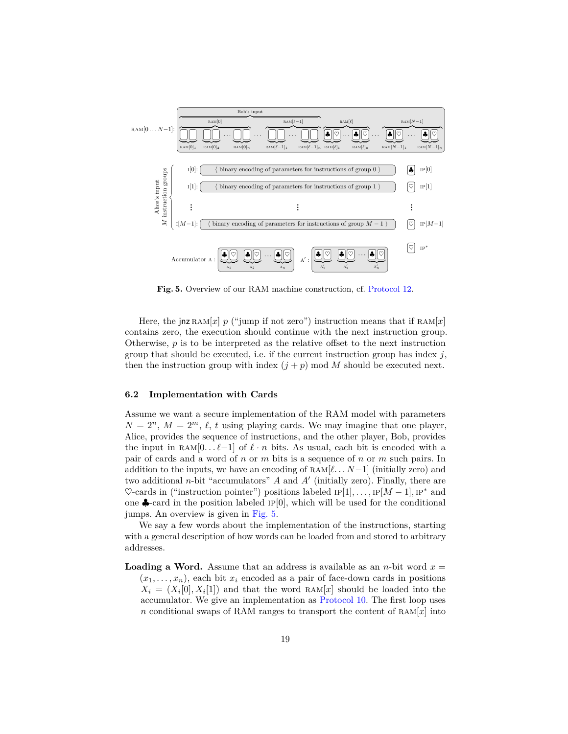

<span id="page-18-0"></span>**Fig. 5.** Overview of our RAM machine construction, cf. [Protocol 12.](#page-20-0)

Here, the jnz RAM $[x]$  *p* ("jump if not zero") instruction means that if RAM $[x]$ contains zero, the execution should continue with the next instruction group. Otherwise, *p* is to be interpreted as the relative offset to the next instruction group that should be executed, i.e. if the current instruction group has index  $j$ , then the instruction group with index  $(j + p)$  mod *M* should be executed next.

#### **6.2 Implementation with Cards**

Assume we want a secure implementation of the RAM model with parameters  $N = 2^n$ ,  $M = 2^m$ ,  $\ell$ , *t* using playing cards. We may imagine that one player, Alice, provides the sequence of instructions, and the other player, Bob, provides the input in RAM $[0 \dots \ell-1]$  of  $\ell \cdot n$  bits. As usual, each bit is encoded with a pair of cards and a word of *n* or *m* bits is a sequence of *n* or *m* such pairs. In addition to the inputs, we have an encoding of  $RAM[\ell, \ldots N-1]$  (initially zero) and two additional  $n$ -bit "accumulators"  $A$  and  $A'$  (initially zero). Finally, there are  $\heartsuit$ -cards in ("instruction pointer") positions labeled  $IP[1], \ldots, IP[M-1], IP^*$  and one  $\clubsuit$ -card in the position labeled IP[0], which will be used for the conditional jumps. An overview is given in [Fig. 5.](#page-18-0)

We say a few words about the implementation of the instructions, starting with a general description of how words can be loaded from and stored to arbitrary addresses.

**Loading a Word.** Assume that an address is available as an *n*-bit word  $x =$  $(x_1, \ldots, x_n)$ , each bit  $x_i$  encoded as a pair of face-down cards in positions  $X_i = (X_i[0], X_i[1])$  and that the word RAM $[x]$  should be loaded into the accumulator. We give an implementation as [Protocol 10.](#page-19-0) The first loop uses *n* conditional swaps of RAM ranges to transport the content of  $\text{RAM}[x]$  into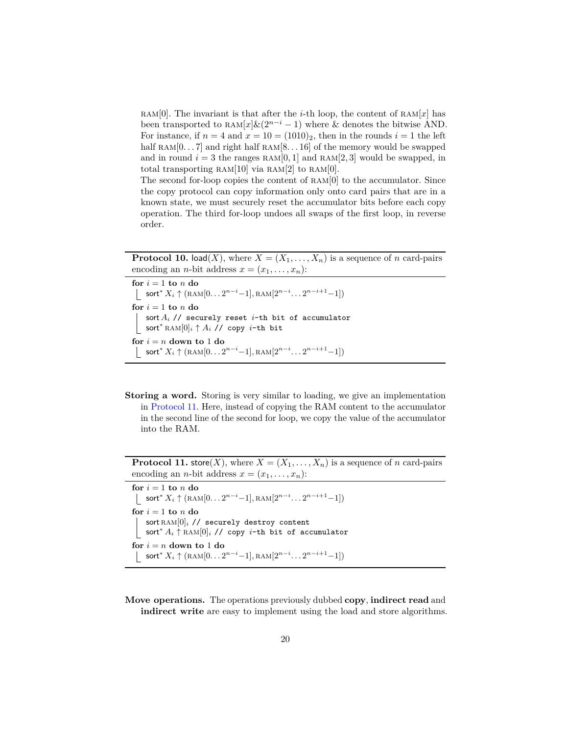RAM<sup>[0]</sup>. The invariant is that after the *i*-th loop, the content of RAM $[x]$  has been transported to RAM $[x] \& (2^{n-i}-1)$  where & denotes the bitwise AND. For instance, if  $n = 4$  and  $x = 10 = (1010)_2$ , then in the rounds  $i = 1$  the left half RAM $[0.. 7]$  and right half RAM $[8.. 16]$  of the memory would be swapped and in round  $i = 3$  the ranges  $RAM[0, 1]$  and  $RAM[2, 3]$  would be swapped, in total transporting  $RAM[10]$  via  $RAM[2]$  to  $RAM[0]$ .

The second for-loop copies the content of  $RAM[0]$  to the accumulator. Since the copy protocol can copy information only onto card pairs that are in a known state, we must securely reset the accumulator bits before each copy operation. The third for-loop undoes all swaps of the first loop, in reverse order.

**Protocol 10.** load(*X*), where  $X = (X_1, \ldots, X_n)$  is a sequence of *n* card-pairs encoding an *n*-bit address  $x = (x_1, \ldots, x_n)$ :

```
for i = 1 to n do
     \text{sort}^* X_i \uparrow (\text{RAM}[0 \dots 2^{n-i}-1], \text{RAM}[2^{n-i} \dots 2^{n-i+1}-1])for i = 1 to n do
    sort Ai // securely reset i-th bit of accumulator
 sort∗ ram[0]i ↑ Ai // copy i-th bit
for i = n down to 1 do
     \text{sort}^* X_i \uparrow (\text{RAM}[0 \dots 2^{n-i}-1], \text{RAM}[2^{n-i} \dots 2^{n-i+1}-1])
```
**Storing a word.** Storing is very similar to loading, we give an implementation in [Protocol 11.](#page-19-1) Here, instead of copying the RAM content to the accumulator in the second line of the second for loop, we copy the value of the accumulator into the RAM.

**Protocol 11.** store(*X*), where  $X = (X_1, \ldots, X_n)$  is a sequence of *n* card-pairs encoding an *n*-bit address  $x = (x_1, \ldots, x_n)$ :

<span id="page-19-1"></span>for  $i = 1$  to  $n$  do  $\text{sort}^* X_i \uparrow (\text{RAM}[0 \dots 2^{n-i}-1], \text{RAM}[2^{n-i} \dots 2^{n-i+1}-1])$ for  $i = 1$  **to**  $n$  **do** sort RAM[0]<sub>i</sub> // securely destroy content sort<sup>∗</sup> *A<sup>i</sup>* ↑ ram[0]*<sup>i</sup>* // copy *i*-th bit of accumulator for  $i = n$  down to 1 do  $\text{sort}^* X_i \uparrow (\text{RAM}[0 \dots 2^{n-i}-1], \text{RAM}[2^{n-i} \dots 2^{n-i+1}-1])$ 

**Move operations.** The operations previously dubbed **copy**, **indirect read** and **indirect write** are easy to implement using the load and store algorithms.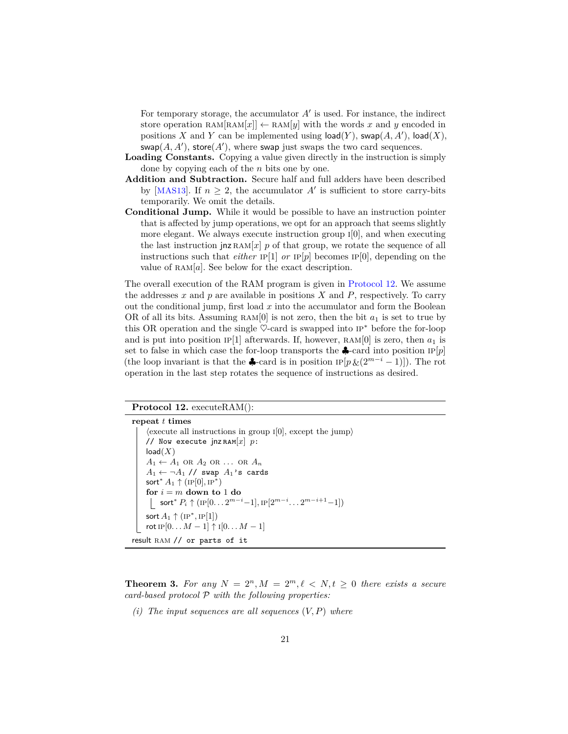For temporary storage, the accumulator  $A'$  is used. For instance, the indirect store operation  $\text{RAM}[x] \leftarrow \text{RAM}[y]$  with the words x and y encoded in positions *X* and *Y* can be implemented using  $\textsf{load}(Y)$ ,  $\textsf{swap}(A, A')$ ,  $\textsf{load}(X)$ ,  $swap(A, A'),$  store $(A')$ , where swap just swaps the two card sequences.

- **Loading Constants.** Copying a value given directly in the instruction is simply done by copying each of the *n* bits one by one.
- **Addition and Subtraction.** Secure half and full adders have been described by [[MAS13](#page-28-11)]. If  $n \geq 2$ , the accumulator A' is sufficient to store carry-bits temporarily. We omit the details.
- **Conditional Jump.** While it would be possible to have an instruction pointer that is affected by jump operations, we opt for an approach that seems slightly more elegant. We always execute instruction group  $I[0]$ , and when executing the last instruction jnz  $\text{RAM}[x]$  *p* of that group, we rotate the sequence of all instructions such that *either* IP[1] *or* IP[*p*] becomes IP[0], depending on the value of  $RAM[a]$ . See below for the exact description.

The overall execution of the RAM program is given in [Protocol 12.](#page-20-0) We assume the addresses  $x$  and  $p$  are available in positions  $X$  and  $P$ , respectively. To carry out the conditional jump, first load *x* into the accumulator and form the Boolean OR of all its bits. Assuming  $RAM[0]$  is not zero, then the bit  $a_1$  is set to true by this OR operation and the single  $\heartsuit$ -card is swapped into  $IP^*$  before the for-loop and is put into position IP[1] afterwards. If, however,  $RAM[0]$  is zero, then  $a_1$  is set to false in which case the for-loop transports the  $\clubsuit$ -card into position IP $[p]$ (the loop invariant is that the  $\clubsuit$ -card is in position  $IP[p \& (2^{m-i}-1)]$ ). The rot operation in the last step rotates the sequence of instructions as desired.

### **Protocol 12.** executeRAM():

<span id="page-20-0"></span>**repeat** *t* **times**  $\langle$  execute all instructions in group  $I[0]$ , except the jump $\rangle$ // Now execute  $\int$ jnz  $\text{RAM}[x]$  *p*:  $load(X)$  $A_1 \leftarrow A_1$  or  $A_2$  or  $\ldots$  or  $A_n$  $A_1 \leftarrow \neg A_1$  // swap  $A_1$ 's cards  $\mathsf{sort}^*A_1 \uparrow (\mathrm{IP}[0], \mathrm{IP}^*)$ **for**  $i = m$  **down to** 1 **do**  $\textsf{sort}^*~P_i \uparrow (\text{IP}[0\ldots 2^{m-i}-1], \text{IP}[2^{m-i}\ldots 2^{m-i+1}-1])$  $\mathsf{sort}\,A_1 \uparrow (\mathrm{IP}^*, \mathrm{IP}[1])$ rot IP $[0... M - 1]$   $\uparrow$  I $[0... M - 1]$ result RAM // or parts of it

**Theorem 3.** For any  $N = 2^n, M = 2^m, \ell < N, t \geq 0$  there exists a secure *card-based protocol* P *with the following properties:*

*(i) The input sequences are all sequences* (*V, P*) *where*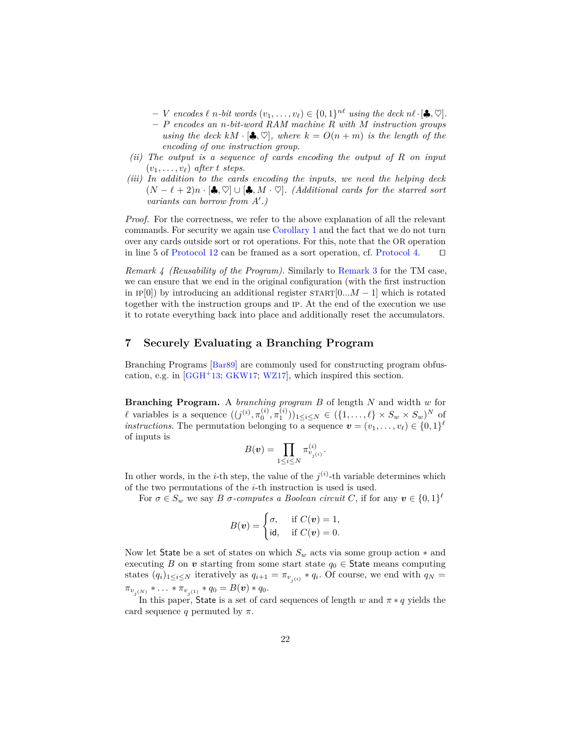- $V = V$  *encodes*  $\ell$  *n*-bit words  $(v_1, \ldots, v_\ell) \in \{0, 1\}^{n\ell}$  using the deck  $n\ell \cdot [\clubsuit, \heartsuit]$ .
- **–** *P encodes an n-bit-word RAM machine R with M instruction groups using the deck*  $kM \cdot [\clubsuit, \heartsuit]$ *, where*  $k = O(n+m)$  *is the length of the encoding of one instruction group.*
- *(ii) The output is a sequence of cards encoding the output of R on input*  $(v_1, \ldots, v_\ell)$  *after t steps.*
- *(iii) In addition to the cards encoding the inputs, we need the helping deck*  $(N - \ell + 2)n \cdot \mathbf{[} \clubsuit, \heartsuit] \cup [\clubsuit, M \cdot \heartsuit]$ . (Additional cards for the starred sort *variants can borrow from A'.*)

*Proof.* For the correctness, we refer to the above explanation of all the relevant commands. For security we again use [Corollary 1](#page-8-3) and the fact that we do not turn over any cards outside sort or rot operations. For this, note that the OR operation in line 5 of [Protocol 12](#page-20-0) can be framed as a sort operation, cf. [Protocol 4.](#page-11-3)  $\Box$ 

*Remark 4 (Reusability of the Program).* Similarly to [Remark 3](#page-17-1) for the TM case, we can ensure that we end in the original configuration (with the first instruction in IP[0]) by introducing an additional register  $START[0...M-1]$  which is rotated together with the instruction groups and ip. At the end of the execution we use it to rotate everything back into place and additionally reset the accumulators.

## <span id="page-21-0"></span>**7 Securely Evaluating a Branching Program**

Branching Programs [[Bar89](#page-26-7)] are commonly used for constructing program obfuscation, e.g. in  $[G<sub>GH</sub><sup>+</sup>13; G<sub>K</sub><sub>W17</sub>; W<sub>Z17</sub>]$ , which inspired this section.

**Branching Program.** A *branching program B* of length *N* and width *w* for *l* variables is a sequence  $((j^{(i)}, \pi_0^{(i)}, \pi_1^{(i)}))_{1 \le i \le N} \in (\{1, ..., \ell\} \times S_w \times S_w)^N$  of *instructions*. The permutation belonging to a sequence  $\mathbf{v} = (v_1, \ldots, v_\ell) \in \{0, 1\}^\ell$ of inputs is

$$
B(\boldsymbol{v}) = \prod_{1 \leq i \leq N} \pi_{v_{j(i)}}^{(i)}.
$$

In other words, in the *i*-th step, the value of the  $j^{(i)}$ -th variable determines which of the two permutations of the *i*-th instruction is used is used.

For  $\sigma \in S_w$  we say *B*  $\sigma$ -computes a *Boolean circuit C*, if for any  $\boldsymbol{v} \in \{0,1\}^{\ell}$ 

$$
B(\mathbf{v}) = \begin{cases} \sigma, & \text{if } C(\mathbf{v}) = 1, \\ \text{id}, & \text{if } C(\mathbf{v}) = 0. \end{cases}
$$

Now let State be a set of states on which  $S_w$  acts via some group action  $*$  and executing *B* on *v* starting from some start state  $q_0 \in$  State means computing states  $(q_i)_{1 \leq i \leq N}$  iteratively as  $q_{i+1} = \pi_{v_{j(i)}} * q_i$ . Of course, we end with  $q_N =$  $\pi_{v_{j(N)}} * \ldots * \pi_{v_{j(1)}} * q_0 = B(\boldsymbol{v}) * q_0.$ 

In this paper, State is a set of card sequences of length  $w$  and  $\pi * q$  yields the card sequence *q* permuted by  $\pi$ .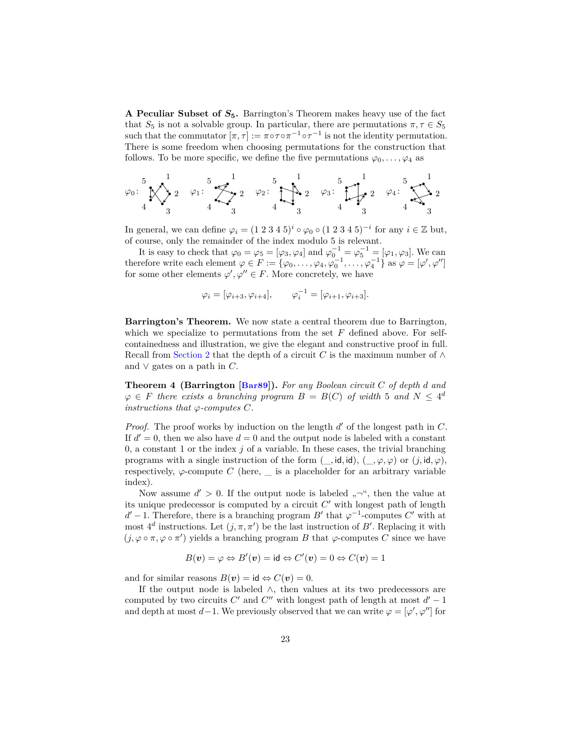**A Peculiar Subset of** *S***5.** Barrington's Theorem makes heavy use of the fact that  $S_5$  is not a solvable group. In particular, there are permutations  $\pi, \tau \in S_5$ such that the commutator  $[\pi, \tau] := \pi \circ \tau \circ \pi^{-1} \circ \tau^{-1}$  is not the identity permutation. There is some freedom when choosing permutations for the construction that follows. To be more specific, we define the five permutations  $\varphi_0, \ldots, \varphi_4$  as

$$
\varphi_0: \begin{matrix} 5 \\ 1 \end{matrix} \times \begin{matrix} 1 \\ 2 \end{matrix} \xrightarrow{2} \begin{matrix} 2 \\ 2 \end{matrix} \xrightarrow{4} \begin{matrix} 5 \\ 2 \end{matrix} \xrightarrow{2} \begin{matrix} 5 \\ 2 \end{matrix} \xrightarrow{1} \begin{matrix} 1 \\ 2 \end{matrix} \xrightarrow{2} \begin{matrix} 5 \\ 2 \end{matrix} \xrightarrow{2} \begin{matrix} 1 \\ 2 \end{matrix} \xrightarrow{2} \begin{matrix} 1 \\ 2 \end{matrix} \xrightarrow{2} \begin{matrix} 1 \\ 2 \end{matrix} \xrightarrow{2} \begin{matrix} 1 \\ 2 \end{matrix} \xrightarrow{2} \begin{matrix} 1 \\ 2 \end{matrix} \xrightarrow{2} \begin{matrix} 1 \\ 2 \end{matrix} \xrightarrow{2} \begin{matrix} 1 \\ 2 \end{matrix} \xrightarrow{2} \begin{matrix} 1 \\ 2 \end{matrix} \xrightarrow{2} \begin{matrix} 1 \\ 2 \end{matrix} \xrightarrow{2} \begin{matrix} 1 \\ 2 \end{matrix} \xrightarrow{2} \begin{matrix} 1 \\ 2 \end{matrix} \xrightarrow{2} \begin{matrix} 1 \\ 2 \end{matrix} \xrightarrow{2} \begin{matrix} 1 \\ 2 \end{matrix} \xrightarrow{2} \begin{matrix} 1 \\ 2 \end{matrix} \xrightarrow{2} \begin{matrix} 1 \\ 2 \end{matrix} \xrightarrow{2} \begin{matrix} 1 \\ 2 \end{matrix} \xrightarrow{2} \begin{matrix} 1 \\ 2 \end{matrix} \xrightarrow{2} \begin{matrix} 1 \\ 2 \end{matrix} \xrightarrow{2} \begin{matrix} 1 \\ 2 \end{matrix} \xrightarrow{2} \begin{matrix} 1 \\ 2 \end{matrix} \xrightarrow{2} \begin{matrix} 1 \\ 2 \end{matrix} \xrightarrow{2} \begin{matrix} 1 \\ 2 \end{matrix} \xrightarrow{2} \begin{matrix} 1 \\ 2 \end{matrix} \xrightarrow{2} \begin{matrix} 1 \\ 2 \end{matrix} \xrightarrow{2} \begin{matrix} 1 \\ 2 \end{matrix} \xrightarrow{2} \begin{matrix} 1 \\ 2 \end{matrix} \xrightarrow{2} \begin{matrix} 1 \\ 2 \end{matrix} \xrightarrow{2} \begin{matrix} 1 \\ 2 \end{matrix} \xrightarrow{2} \begin{matrix} 1 \\ 2 \end{matrix} \xrightarrow{2} \begin
$$

In general, we can define  $\varphi_i = (1\ 2\ 3\ 4\ 5)^i \circ \varphi_0 \circ (1\ 2\ 3\ 4\ 5)^{-i}$  for any  $i \in \mathbb{Z}$  but, of course, only the remainder of the index modulo 5 is relevant.

It is easy to check that  $\varphi_0 = \varphi_5 = [\varphi_3, \varphi_4]$  and  $\varphi_0^{-1} = \varphi_5^{-1} = [\varphi_1, \varphi_3]$ . We can therefore write each element  $\varphi \in F := \{ \varphi_0, \ldots, \varphi_4, \varphi_0^{-1}, \ldots, \varphi_4^{-1} \}$  as  $\varphi = [\varphi', \varphi'']$ for some other elements  $\varphi', \varphi'' \in F$ . More concretely, we have

$$
\varphi_i = [\varphi_{i+3}, \varphi_{i+4}], \qquad \varphi_i^{-1} = [\varphi_{i+1}, \varphi_{i+3}].
$$

**Barrington's Theorem.** We now state a central theorem due to Barrington, which we specialize to permutations from the set *F* defined above. For selfcontainedness and illustration, we give the elegant and constructive proof in full. Recall from [Section 2](#page-4-0) that the depth of a circuit *C* is the maximum number of  $\wedge$ and  $∨$  gates on a path in  $C$ .

<span id="page-22-0"></span>**Theorem 4 (Barrington [[Bar89](#page-26-7)]).** *For any Boolean circuit C of depth d and*  $\varphi \in F$  there exists a branching program  $B = B(C)$  of width 5 and  $N \leq 4^d$ *instructions that*  $\varphi$ -*computes*  $C$ *.* 

*Proof.* The proof works by induction on the length  $d'$  of the longest path in *C*. If  $d' = 0$ , then we also have  $d = 0$  and the output node is labeled with a constant 0, a constant 1 or the index *j* of a variable. In these cases, the trivial branching programs with a single instruction of the form  $(\,\cdot\,$ , id, id),  $(\,\cdot\,,\varphi,\varphi)$  or  $(j, id, \varphi)$ , respectively,  $\varphi$ -compute *C* (here, \_\_ is a placeholder for an arbitrary variable index).

Now assume  $d' > 0$ . If the output node is labeled  $, \neg$ ", then the value at its unique predecessor is computed by a circuit  $C'$  with longest path of length  $d' - 1$ . Therefore, there is a branching program *B*<sup> $\prime$ </sup> that  $\varphi^{-1}$ -computes *C*<sup> $\prime$ </sup> with at most  $4^d$  instructions. Let  $(j, \pi, \pi')$  be the last instruction of *B'*. Replacing it with  $(j, \varphi \circ \pi, \varphi \circ \pi')$  yields a branching program *B* that  $\varphi$ -computes *C* since we have

$$
B(\mathbf{v}) = \varphi \Leftrightarrow B'(\mathbf{v}) = \text{id} \Leftrightarrow C'(\mathbf{v}) = 0 \Leftrightarrow C(\mathbf{v}) = 1
$$

and for similar reasons  $B(v) = id \Leftrightarrow C(v) = 0$ .

If the output node is labeled  $\wedge$ , then values at its two predecessors are computed by two circuits  $C'$  and  $C''$  with longest path of length at most  $d'-1$ and depth at most  $d-1$ . We previously observed that we can write  $\varphi = [\varphi', \varphi'']$  for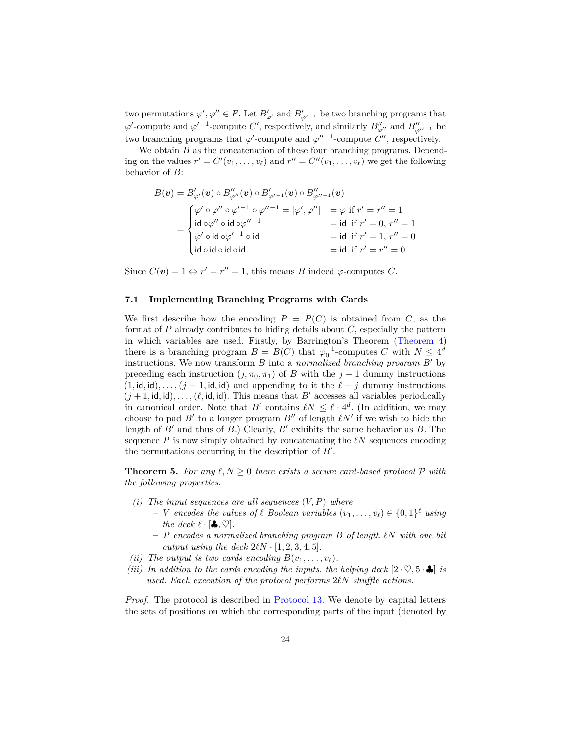two permutations  $\varphi', \varphi'' \in F$ . Let  $B'_{\varphi'}$  and  $B'_{\varphi'^{-1}}$  be two branching programs that  $\varphi'$ -compute and  $\varphi'^{-1}$ -compute *C*', respectively, and similarly  $B''_{\varphi''}$  and  $B''_{\varphi''-1}$  be two branching programs that  $\varphi'$ -compute and  $\varphi''^{-1}$ -compute *C*<sup>*n*</sup>, respectively.

We obtain *B* as the concatenation of these four branching programs. Depending on the values  $r' = C'(v_1, \ldots, v_\ell)$  and  $r'' = C''(v_1, \ldots, v_\ell)$  we get the following behavior of *B*:

$$
B(\mathbf{v}) = B'_{\varphi'}(\mathbf{v}) \circ B''_{\varphi''}(\mathbf{v}) \circ B'_{\varphi'^{-1}}(\mathbf{v}) \circ B''_{\varphi''^{-1}}(\mathbf{v})
$$
  
\n
$$
= \begin{cases} \varphi' \circ \varphi'' \circ \varphi'^{-1} \circ \varphi''^{-1} = [\varphi', \varphi''] & = \varphi \text{ if } r' = r'' = 1 \\ \mathrm{id} \circ \varphi'' \circ \mathrm{id} \circ \varphi''^{-1} & = \mathrm{id} \text{ if } r' = 0, r'' = 1 \\ \varphi' \circ \mathrm{id} \circ \varphi'^{-1} \circ \mathrm{id} & = \mathrm{id} \text{ if } r' = 1, r'' = 0 \\ \mathrm{id} \circ \mathrm{id} \circ \mathrm{id} \circ \mathrm{id} & = \mathrm{id} \text{ if } r' = r'' = 0 \end{cases}
$$

Since  $C(\mathbf{v}) = 1 \Leftrightarrow r' = r'' = 1$ , this means *B* indeed  $\varphi$ -computes *C*.

#### **7.1 Implementing Branching Programs with Cards**

We first describe how the encoding  $P = P(C)$  is obtained from  $C$ , as the format of *P* already contributes to hiding details about *C*, especially the pattern in which variables are used. Firstly, by Barrington's Theorem [\(Theorem 4\)](#page-22-0) there is a branching program  $B = B(C)$  that  $\varphi_0^{-1}$ -computes *C* with  $N \leq 4^d$ instructions. We now transform  $B$  into a *normalized branching program*  $B'$  by preceding each instruction  $(i, \pi_0, \pi_1)$  of *B* with the  $j-1$  dummy instructions  $(1, id, id), \ldots, (j - 1, id, id)$  and appending to it the  $\ell - j$  dummy instructions  $(j + 1, id, id), \ldots, (\ell, id, id)$ . This means that *B'* accesses all variables periodically in canonical order. Note that  $B'$  contains  $\ell N \leq \ell \cdot 4^d$ . (In addition, we may choose to pad  $B'$  to a longer program  $B''$  of length  $\ell N'$  if we wish to hide the length of  $B'$  and thus of  $B$ .) Clearly,  $B'$  exhibits the same behavior as  $B$ . The sequence  $P$  is now simply obtained by concatenating the  $\ell N$  sequences encoding the permutations occurring in the description of  $B'$ .

**Theorem 5.** For any  $\ell, N \geq 0$  there exists a secure card-based protocol  $\mathcal{P}$  with *the following properties:*

- *(i) The input sequences are all sequences* (*V, P*) *where*
	- $\mathbf{v} = \mathbf{V}$  *encodes the values of*  $\ell$  *Boolean variables*  $(v_1, \ldots, v_\ell) \in \{0, 1\}^{\ell}$  *using the deck*  $\ell \cdot [\clubsuit, \heartsuit]$ *.*
	- $P$  *encodes a normalized branching program*  $B$  *of length*  $\ell N$  *with one bit output using the deck*  $2\ell N \cdot [1, 2, 3, 4, 5]$ *.*
- *(ii) The output is two cards encoding*  $B(v_1, \ldots, v_\ell)$ .
- *(iii)* In addition to the cards encoding the inputs, the helping deck  $[2 \cdot \heartsuit, 5 \cdot \clubsuit]$  *is used. Each execution of the protocol performs* 2*`N shuffle actions.*

*Proof.* The protocol is described in [Protocol 13.](#page-24-0) We denote by capital letters the sets of positions on which the corresponding parts of the input (denoted by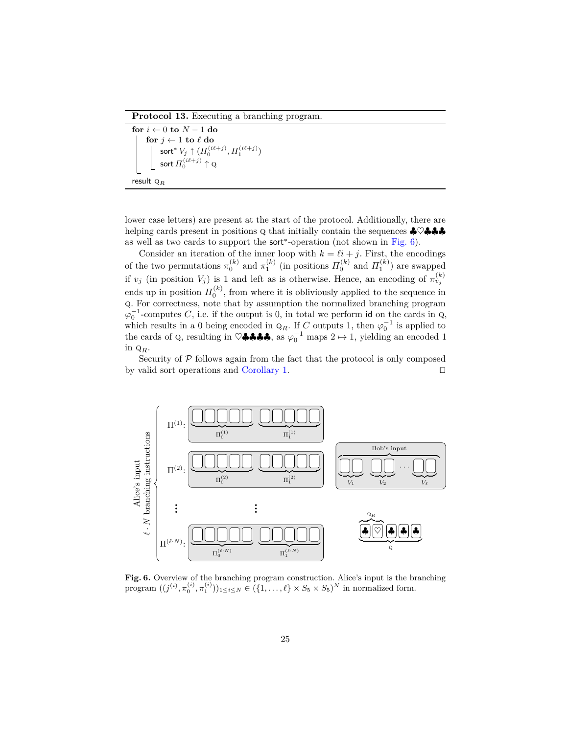**Protocol 13.** Executing a branching program.

```
for i ← 0 to N − 1 do
          \mathbf{for}~j \leftarrow 1~\mathbf{to}~\ell~\mathbf{do}\mathsf{sort}^* \, V_j \uparrow ( \varPi_0^{(i\ell +j)}, \varPi_1^{(i\ell +j)})\mathsf{sort}\, H_0^{(i\ell +j)} \uparrow \mathrm{Q}
```

```
result qR
```
lower case letters) are present at the start of the protocol. Additionally, there are helping cards present in positions  $Q$  that initially contain the sequences  $\clubsuit \heartsuit \clubsuit \clubsuit \clubsuit$ as well as two cards to support the sort<sup>∗</sup> -operation (not shown in [Fig. 6\)](#page-24-1).

Consider an iteration of the inner loop with  $k = \ell i + j$ . First, the encodings of the two permutations  $\pi_0^{(k)}$  and  $\pi_1^{(k)}$  (in positions  $\Pi_0^{(k)}$  and  $\Pi_1^{(k)}$ ) are swapped if  $v_j$  (in position  $V_j$ ) is 1 and left as is otherwise. Hence, an encoding of  $\pi_{v_j}^{(k)}$ ends up in position  $\Pi_0^{(k)}$ , from where it is obliviously applied to the sequence in q. For correctness, note that by assumption the normalized branching program  $\varphi_0^{-1}$ -computes *C*, i.e. if the output is 0, in total we perform id on the cards in Q, which results in a 0 being encoded in  $Q_R$ . If *C* outputs 1, then  $\varphi_0^{-1}$  is applied to the cards of Q, resulting in  $\heartsuit$ **♣♣♣**, as  $\varphi_0^{-1}$  maps  $2 \mapsto 1$ , yielding an encoded 1 in q*R*.

Security of  $P$  follows again from the fact that the protocol is only composed by valid sort operations and [Corollary 1.](#page-8-3)  $\Box$ 



<span id="page-24-1"></span>Fig. 6. Overview of the branching program construction. Alice's input is the branching program  $((j^{(i)}, \pi_0^{(i)}, \pi_1^{(i)}))_{1 \le i \le N} \in (\{1, ..., \ell\} \times S_5 \times S_5)^N$  in normalized form.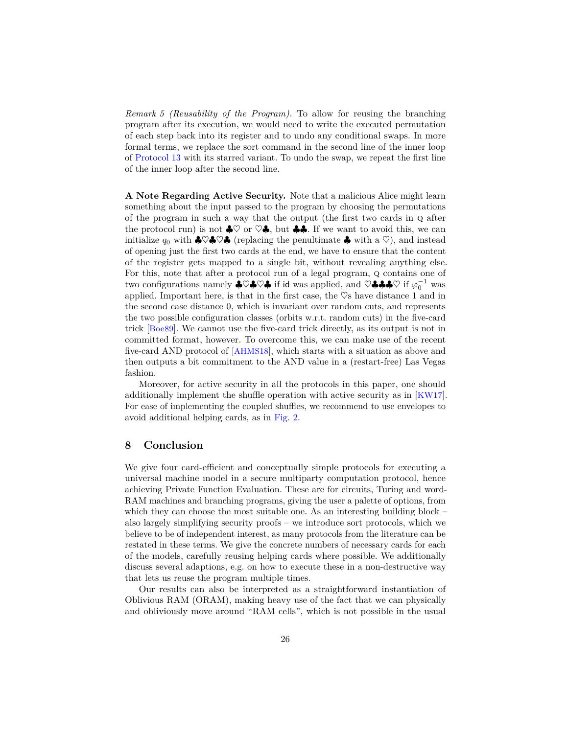*Remark 5 (Reusability of the Program).* To allow for reusing the branching program after its execution, we would need to write the executed permutation of each step back into its register and to undo any conditional swaps. In more formal terms, we replace the sort command in the second line of the inner loop of [Protocol 13](#page-24-0) with its starred variant. To undo the swap, we repeat the first line of the inner loop after the second line.

**A Note Regarding Active Security.** Note that a malicious Alice might learn something about the input passed to the program by choosing the permutations of the program in such a way that the output (the first two cards in q after the protocol run) is not  $\clubsuit \heartsuit$  or  $\heartsuit \clubsuit$ , but  $\clubsuit \clubsuit$ . If we want to avoid this, we can initialize  $q_0$  with  $\clubsuit \heartsuit \clubsuit \heartsuit \clubsuit$  (replacing the penultimate  $\clubsuit$  with a  $\heartsuit$ ), and instead of opening just the first two cards at the end, we have to ensure that the content of the register gets mapped to a single bit, without revealing anything else. For this, note that after a protocol run of a legal program, q contains one of two configurations namely  $\clubsuit \heartsuit \clubsuit \heartsuit \clubsuit \heartsuit \spadesuit$  if id was applied, and  $\heartsuit \clubsuit \clubsuit \clubsuit \heartsuit$  if  $\varphi_0^{-1}$  was applied. Important here, is that in the first case, the  $\heartsuit$ s have distance 1 and in the second case distance 0, which is invariant over random cuts, and represents the two possible configuration classes (orbits w.r.t. random cuts) in the five-card trick [[Boe89](#page-26-1)]. We cannot use the five-card trick directly, as its output is not in committed format, however. To overcome this, we can make use of the recent five-card AND protocol of [[AHMS18](#page-26-8)], which starts with a situation as above and then outputs a bit commitment to the AND value in a (restart-free) Las Vegas fashion.

Moreover, for active security in all the protocols in this paper, one should additionally implement the shuffle operation with active security as in [[KW17](#page-28-1)]. For ease of implementing the coupled shuffles, we recommend to use envelopes to avoid additional helping cards, as in [Fig. 2.](#page-7-0)

## **8 Conclusion**

We give four card-efficient and conceptually simple protocols for executing a universal machine model in a secure multiparty computation protocol, hence achieving Private Function Evaluation. These are for circuits, Turing and word-RAM machines and branching programs, giving the user a palette of options, from which they can choose the most suitable one. As an interesting building block – also largely simplifying security proofs – we introduce sort protocols, which we believe to be of independent interest, as many protocols from the literature can be restated in these terms. We give the concrete numbers of necessary cards for each of the models, carefully reusing helping cards where possible. We additionally discuss several adaptions, e.g. on how to execute these in a non-destructive way that lets us reuse the program multiple times.

Our results can also be interpreted as a straightforward instantiation of Oblivious RAM (ORAM), making heavy use of the fact that we can physically and obliviously move around "RAM cells", which is not possible in the usual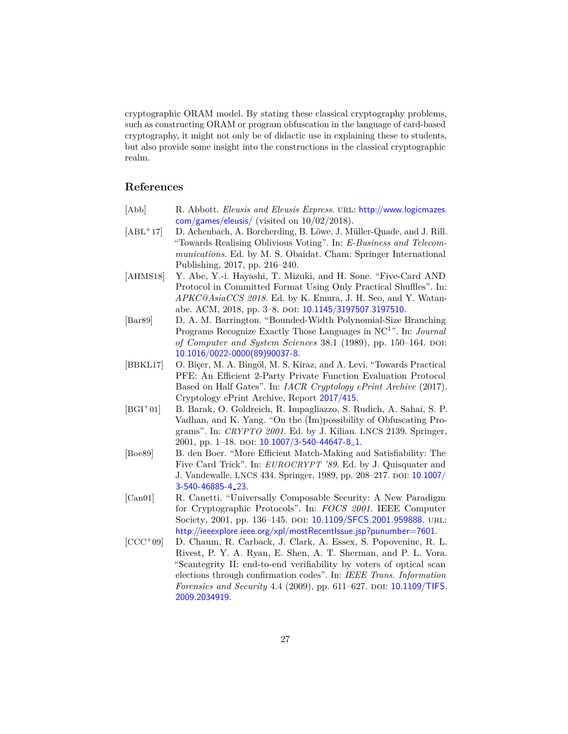cryptographic ORAM model. By stating these classical cryptography problems, such as constructing ORAM or program obfuscation in the language of card-based cryptography, it might not only be of didactic use in explaining these to students, but also provide some insight into the constructions in the classical cryptographic realm.

## **References**

- <span id="page-26-4"></span>[Abb] R. Abbott. *Eleusis and Eleusis Express*. URL: [http://www.logicmazes.](http://www.logicmazes.com/games/eleusis/) [com/games/eleusis/](http://www.logicmazes.com/games/eleusis/) (visited on 10/02/2018).
- <span id="page-26-2"></span>[ABL<sup>+</sup>17] D. Achenbach, A. Borcherding, B. Löwe, J. Müller-Quade, and J. Rill. "Towards Realising Oblivious Voting". In: *E-Business and Telecommunications*. Ed. by M. S. Obaidat. Cham: Springer International Publishing, 2017, pp. 216–240.
- <span id="page-26-8"></span>[AHMS18] Y. Abe, Y.-i. Hayashi, T. Mizuki, and H. Sone. "Five-Card AND Protocol in Committed Format Using Only Practical Shuffles". In: *APKC@AsiaCCS 2018*. Ed. by K. Emura, J. H. Seo, and Y. Watan-abe. ACM, 2018, pp. 3–8. doi: [10.1145/3197507.3197510](http://dx.doi.org/10.1145/3197507.3197510).
- <span id="page-26-7"></span>[Bar89] D. A. M. Barrington. "Bounded-Width Polynomial-Size Branching Programs Recognize Exactly Those Languages in NC<sup>1</sup> ". In: *Journal of Computer and System Sciences* 38.1 (1989), pp. 150–164. DOI: [10.1016/0022-0000\(89\)90037-8](http://dx.doi.org/10.1016/0022-0000(89)90037-8).
- <span id="page-26-0"></span>[BBKL17] O. Biçer, M. A. Bingöl, M. S. Kiraz, and A. Levi. "Towards Practical PFE: An Efficient 2-Party Private Function Evaluation Protocol Based on Half Gates". In: *IACR Cryptology ePrint Archive* (2017). Cryptology ePrint Archive, Report [2017/415](https://eprint.iacr.org/2017/415).
- <span id="page-26-6"></span>[BGI<sup>+</sup>01] B. Barak, O. Goldreich, R. Impagliazzo, S. Rudich, A. Sahai, S. P. Vadhan, and K. Yang. "On the (Im)possibility of Obfuscating Programs". In: *CRYPTO 2001*. Ed. by J. Kilian. LNCS 2139. Springer, 2001, pp. 1–18. doi: [10.1007/3-540-44647-8](http://dx.doi.org/10.1007/3-540-44647-8_1) 1.
- <span id="page-26-1"></span>[Boe89] B. den Boer. "More Efficient Match-Making and Satisfiability: The Five Card Trick". In: *EUROCRYPT '89*. Ed. by J. Quisquater and J. Vandewalle. LNCS 434. Springer, 1989, pp. 208–217. doi: [10.1007/](http://dx.doi.org/10.1007/3-540-46885-4_23) [3-540-46885-4](http://dx.doi.org/10.1007/3-540-46885-4_23) 23.
- <span id="page-26-5"></span>[Can01] R. Canetti. "Universally Composable Security: A New Paradigm for Cryptographic Protocols". In: *FOCS 2001*. IEEE Computer Society, 2001, pp. 136-145. DOI: [10.1109/SFCS.2001.959888](http://dx.doi.org/10.1109/SFCS.2001.959888). URL: <http://ieeexplore.ieee.org/xpl/mostRecentIssue.jsp?punumber=7601>.
- <span id="page-26-3"></span>[CCC<sup>+</sup>09] D. Chaum, R. Carback, J. Clark, A. Essex, S. Popoveniuc, R. L. Rivest, P. Y. A. Ryan, E. Shen, A. T. Sherman, and P. L. Vora. "Scantegrity II: end-to-end verifiability by voters of optical scan elections through confirmation codes". In: *IEEE Trans. Information Forensics and Security* 4.4 (2009), pp. 611–627. DOI: [10.1109/TIFS.](http://dx.doi.org/10.1109/TIFS.2009.2034919) [2009.2034919](http://dx.doi.org/10.1109/TIFS.2009.2034919).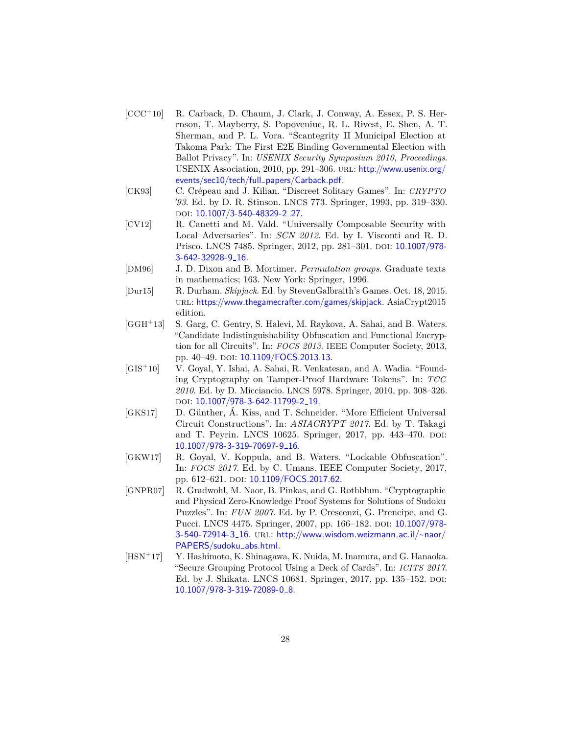- <span id="page-27-3"></span>[CCC<sup>+</sup>10] R. Carback, D. Chaum, J. Clark, J. Conway, A. Essex, P. S. Herrnson, T. Mayberry, S. Popoveniuc, R. L. Rivest, E. Shen, A. T. Sherman, and P. L. Vora. "Scantegrity II Municipal Election at Takoma Park: The First E2E Binding Governmental Election with Ballot Privacy". In: *USENIX Security Symposium 2010, Proceedings*. USENIX Association, 2010, pp. 291-306. URL: [http://www.usenix.org/](http://www.usenix.org/events/sec10/tech/full_papers/Carback.pdf) [events/sec10/tech/full](http://www.usenix.org/events/sec10/tech/full_papers/Carback.pdf)\_papers/Carback.pdf.
- <span id="page-27-0"></span>[CK93] C. Crépeau and J. Kilian. "Discreet Solitary Games". In: *CRYPTO '93*. Ed. by D. R. Stinson. LNCS 773. Springer, 1993, pp. 319–330. DOI: [10.1007/3-540-48329-2](http://dx.doi.org/10.1007/3-540-48329-2_27)\_27.
- <span id="page-27-7"></span>[CV12] R. Canetti and M. Vald. "Universally Composable Security with Local Adversaries". In: *SCN 2012*. Ed. by I. Visconti and R. D. Prisco. LNCS 7485. Springer, 2012, pp. 281–301. doi: [10.1007/978-](http://dx.doi.org/10.1007/978-3-642-32928-9_16) [3-642-32928-9](http://dx.doi.org/10.1007/978-3-642-32928-9_16) 16.
- <span id="page-27-8"></span>[DM96] J. D. Dixon and B. Mortimer. *Permutation groups*. Graduate texts in mathematics; 163. New York: Springer, 1996.
- <span id="page-27-4"></span>[Dur15] R. Durham. *Skipjack*. Ed. by StevenGalbraith's Games. Oct. 18, 2015. url: <https://www.thegamecrafter.com/games/skipjack>. AsiaCrypt2015 edition.
- <span id="page-27-9"></span>[GGH<sup>+</sup>13] S. Garg, C. Gentry, S. Halevi, M. Raykova, A. Sahai, and B. Waters. "Candidate Indistinguishability Obfuscation and Functional Encryption for all Circuits". In: *FOCS 2013*. IEEE Computer Society, 2013, pp. 40–49. doi: [10.1109/FOCS.2013.13](http://dx.doi.org/10.1109/FOCS.2013.13).
- <span id="page-27-6"></span>[GIS<sup>+</sup>10] V. Goyal, Y. Ishai, A. Sahai, R. Venkatesan, and A. Wadia. "Founding Cryptography on Tamper-Proof Hardware Tokens". In: *TCC 2010*. Ed. by D. Micciancio. LNCS 5978. Springer, 2010, pp. 308–326. doi: [10.1007/978-3-642-11799-2](http://dx.doi.org/10.1007/978-3-642-11799-2_19) 19.
- <span id="page-27-2"></span>[GKS17] D. Günther, Á. Kiss, and T. Schneider. "More Efficient Universal Circuit Constructions". In: *ASIACRYPT 2017*. Ed. by T. Takagi and T. Peyrin. LNCS 10625. Springer, 2017, pp. 443–470. DOI: [10.1007/978-3-319-70697-9](http://dx.doi.org/10.1007/978-3-319-70697-9_16) 16.
- <span id="page-27-10"></span>[GKW17] R. Goyal, V. Koppula, and B. Waters. "Lockable Obfuscation". In: *FOCS 2017*. Ed. by C. Umans. IEEE Computer Society, 2017, pp. 612–621. doi: [10.1109/FOCS.2017.62](http://dx.doi.org/10.1109/FOCS.2017.62).
- <span id="page-27-5"></span>[GNPR07] R. Gradwohl, M. Naor, B. Pinkas, and G. Rothblum. "Cryptographic and Physical Zero-Knowledge Proof Systems for Solutions of Sudoku Puzzles". In: *FUN 2007*. Ed. by P. Crescenzi, G. Prencipe, and G. Pucci. LNCS 4475. Springer, 2007, pp. 166–182. doi: [10.1007/978-](http://dx.doi.org/10.1007/978-3-540-72914-3_16) [3-540-72914-3](http://dx.doi.org/10.1007/978-3-540-72914-3_16)\_16. URL: [http://www.wisdom.weizmann.ac.il/~naor/](http://www.wisdom.weizmann.ac.il/~naor/PAPERS/sudoku_abs.html) [PAPERS/sudoku](http://www.wisdom.weizmann.ac.il/~naor/PAPERS/sudoku_abs.html)\_abs.html.
- <span id="page-27-1"></span>[HSN<sup>+</sup>17] Y. Hashimoto, K. Shinagawa, K. Nuida, M. Inamura, and G. Hanaoka. "Secure Grouping Protocol Using a Deck of Cards". In: *ICITS 2017*. Ed. by J. Shikata. LNCS 10681. Springer, 2017, pp. 135–152. doi: [10.1007/978-3-319-72089-0](http://dx.doi.org/10.1007/978-3-319-72089-0_8)\_8.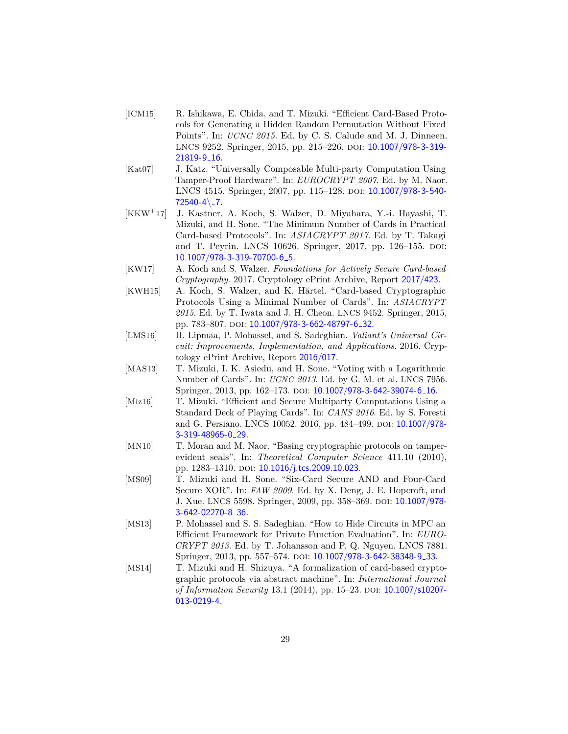- <span id="page-28-4"></span>[ICM15] R. Ishikawa, E. Chida, and T. Mizuki. "Efficient Card-Based Protocols for Generating a Hidden Random Permutation Without Fixed Points". In: *UCNC 2015*. Ed. by C. S. Calude and M. J. Dinneen. LNCS 9252. Springer, 2015, pp. 215-226. DOI: [10.1007/978-3-319-](http://dx.doi.org/10.1007/978-3-319-21819-9_16) [21819-9](http://dx.doi.org/10.1007/978-3-319-21819-9_16) 16.
- <span id="page-28-5"></span>[Kat07] J. Katz. "Universally Composable Multi-party Computation Using Tamper-Proof Hardware". In: *EUROCRYPT 2007*. Ed. by M. Naor. LNCS 4515. Springer, 2007, pp. 115-128. DOI: [10.1007/978-3-540-](http://dx.doi.org/10.1007/978-3-540-72540-4\_7)  $72540-4$   $-7$ .
- <span id="page-28-10"></span>[KKW<sup>+</sup>17] J. Kastner, A. Koch, S. Walzer, D. Miyahara, Y.-i. Hayashi, T. Mizuki, and H. Sone. "The Minimum Number of Cards in Practical Card-based Protocols". In: *ASIACRYPT 2017*. Ed. by T. Takagi and T. Peyrin. LNCS 10626. Springer, 2017, pp. 126–155. DOI: [10.1007/978-3-319-70700-6](http://dx.doi.org/10.1007/978-3-319-70700-6_5) 5.
- <span id="page-28-1"></span>[KW17] A. Koch and S. Walzer. *Foundations for Actively Secure Card-based Cryptography*. 2017. Cryptology ePrint Archive, Report [2017/423](https://eprint.iacr.org/2017/423).
- <span id="page-28-9"></span>[KWH15] A. Koch, S. Walzer, and K. Härtel. "Card-based Cryptographic Protocols Using a Minimal Number of Cards". In: *ASIACRYPT 2015*. Ed. by T. Iwata and J. H. Cheon. LNCS 9452. Springer, 2015, pp. 783-807. doi: [10.1007/978-3-662-48797-6](http://dx.doi.org/10.1007/978-3-662-48797-6_32)\_32.
- <span id="page-28-3"></span>[LMS16] H. Lipmaa, P. Mohassel, and S. Sadeghian. *Valiant's Universal Circuit: Improvements, Implementation, and Applications*. 2016. Cryptology ePrint Archive, Report [2016/017](https://eprint.iacr.org/2016/017).
- <span id="page-28-11"></span>[MAS13] T. Mizuki, I. K. Asiedu, and H. Sone. "Voting with a Logarithmic Number of Cards". In: *UCNC 2013*. Ed. by G. M. et al. LNCS 7956. Springer, 2013, pp. 162–173. doi: [10.1007/978-3-642-39074-6](http://dx.doi.org/10.1007/978-3-642-39074-6_16) 16.
- <span id="page-28-8"></span>[Miz16] T. Mizuki. "Efficient and Secure Multiparty Computations Using a Standard Deck of Playing Cards". In: *CANS 2016*. Ed. by S. Foresti and G. Persiano. LNCS 10052. 2016, pp. 484-499. DOI: [10.1007/978-](http://dx.doi.org/10.1007/978-3-319-48965-0_29) [3-319-48965-0](http://dx.doi.org/10.1007/978-3-319-48965-0_29) 29.
- <span id="page-28-6"></span>[MN10] T. Moran and M. Naor. "Basing cryptographic protocols on tamperevident seals". In: *Theoretical Computer Science* 411.10 (2010), pp. 1283-1310. doi: [10.1016/j.tcs.2009.10.023](http://dx.doi.org/10.1016/j.tcs.2009.10.023).
- <span id="page-28-0"></span>[MS09] T. Mizuki and H. Sone. "Six-Card Secure AND and Four-Card Secure XOR". In: *FAW 2009*. Ed. by X. Deng, J. E. Hopcroft, and J. Xue. LNCS 5598. Springer, 2009, pp. 358–369. doi: [10.1007/978-](http://dx.doi.org/10.1007/978-3-642-02270-8_36) [3-642-02270-8](http://dx.doi.org/10.1007/978-3-642-02270-8_36) 36.
- <span id="page-28-2"></span>[MS13] P. Mohassel and S. S. Sadeghian. "How to Hide Circuits in MPC an Efficient Framework for Private Function Evaluation". In: *EURO-CRYPT 2013*. Ed. by T. Johansson and P. Q. Nguyen. LNCS 7881. Springer, 2013, pp. 557–574. DOI: [10.1007/978-3-642-38348-9](http://dx.doi.org/10.1007/978-3-642-38348-9_33)<sub>-33</sub>.
- <span id="page-28-7"></span>[MS14] T. Mizuki and H. Shizuya. "A formalization of card-based cryptographic protocols via abstract machine". In: *International Journal of Information Security* 13.1 (2014), pp. 15–23. DOI: [10.1007/s10207-](http://dx.doi.org/10.1007/s10207-013-0219-4) [013-0219-4](http://dx.doi.org/10.1007/s10207-013-0219-4).